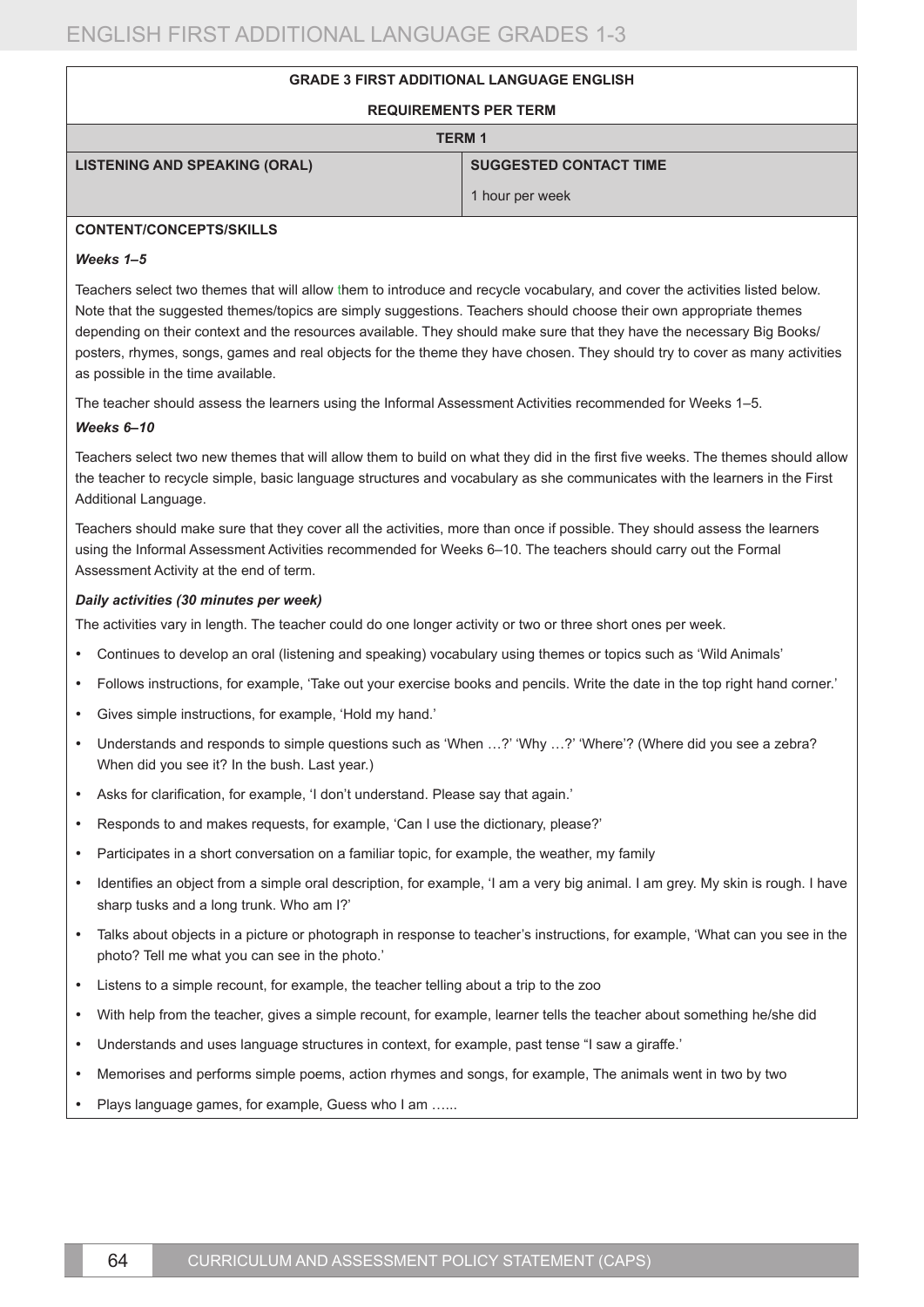# **GRADE 3 FIRST ADDITIONAL LANGUAGE ENGLISH**

#### **REQUIREMENTS PER TERM**

| <b>TERM 1</b>                        |                               |
|--------------------------------------|-------------------------------|
| <b>LISTENING AND SPEAKING (ORAL)</b> | <b>SUGGESTED CONTACT TIME</b> |
|                                      | 1 hour per week               |

# **CONTENT/CONCEPTS/SKILLS**

#### *Weeks 1–5*

Teachers select two themes that will allow them to introduce and recycle vocabulary, and cover the activities listed below. Note that the suggested themes/topics are simply suggestions. Teachers should choose their own appropriate themes depending on their context and the resources available. They should make sure that they have the necessary Big Books/ posters, rhymes, songs, games and real objects for the theme they have chosen. They should try to cover as many activities as possible in the time available.

The teacher should assess the learners using the Informal Assessment Activities recommended for Weeks 1–5.

#### *Weeks 6–10*

Teachers select two new themes that will allow them to build on what they did in the first five weeks. The themes should allow the teacher to recycle simple, basic language structures and vocabulary as she communicates with the learners in the First Additional Language.

Teachers should make sure that they cover all the activities, more than once if possible. They should assess the learners using the Informal Assessment Activities recommended for Weeks 6–10. The teachers should carry out the Formal Assessment Activity at the end of term.

#### *Daily activities (30 minutes per week)*

The activities vary in length. The teacher could do one longer activity or two or three short ones per week.

- • Continues to develop an oral (listening and speaking) vocabulary using themes or topics such as 'Wild Animals'
- • Follows instructions, for example, 'Take out your exercise books and pencils. Write the date in the top right hand corner.'
- Gives simple instructions, for example, 'Hold my hand.'
- Understands and responds to simple questions such as 'When ...?' 'Why ...?' 'Where'? (Where did you see a zebra? When did you see it? In the bush. Last year.)
- • Asks for clarification, for example, 'I don't understand. Please say that again.'
- Responds to and makes requests, for example, 'Can I use the dictionary, please?'
- Participates in a short conversation on a familiar topic, for example, the weather, my family
- Identifies an object from a simple oral description, for example, 'I am a very big animal. I am grey. My skin is rough. I have sharp tusks and a long trunk. Who am I?'
- • Talks about objects in a picture or photograph in response to teacher's instructions, for example, 'What can you see in the photo? Tell me what you can see in the photo.'
- Listens to a simple recount, for example, the teacher telling about a trip to the zoo
- With help from the teacher, gives a simple recount, for example, learner tells the teacher about something he/she did
- Understands and uses language structures in context, for example, past tense "I saw a giraffe."
- Memorises and performs simple poems, action rhymes and songs, for example, The animals went in two by two
- Plays language games, for example, Guess who I am ......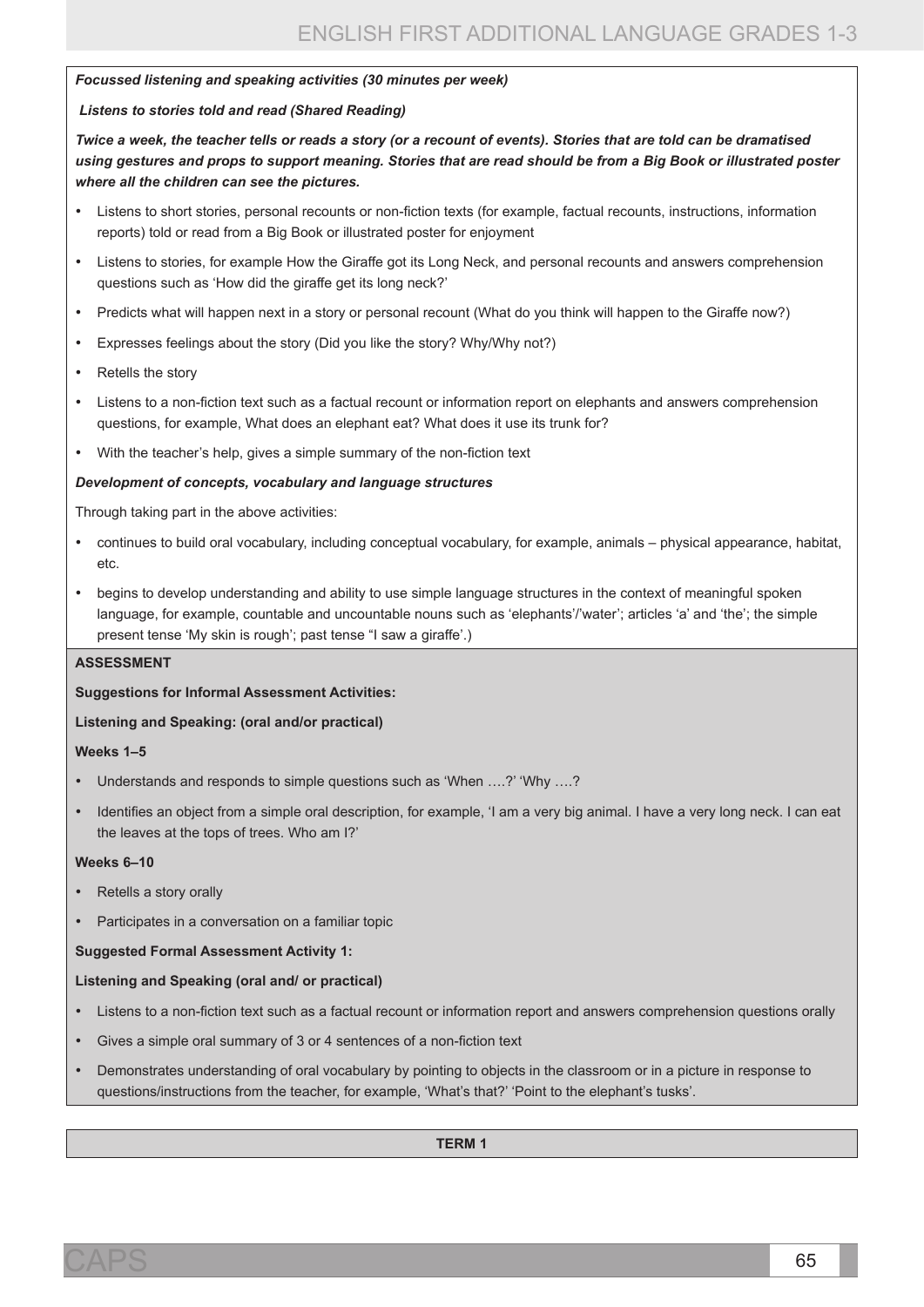#### *Focussed listening and speaking activities (30 minutes per week)*

### *Listens to stories told and read (Shared Reading)*

*Twice a week, the teacher tells or reads a story (or a recount of events). Stories that are told can be dramatised using gestures and props to support meaning. Stories that are read should be from a Big Book or illustrated poster where all the children can see the pictures.*

- Listens to short stories, personal recounts or non-fiction texts (for example, factual recounts, instructions, information reports) told or read from a Big Book or illustrated poster for enjoyment
- Listens to stories, for example How the Giraffe got its Long Neck, and personal recounts and answers comprehension questions such as 'How did the giraffe get its long neck?'
- Predicts what will happen next in a story or personal recount (What do you think will happen to the Giraffe now?)
- Expresses feelings about the story (Did you like the story? Why/Why not?)
- Retells the story
- Listens to a non-fiction text such as a factual recount or information report on elephants and answers comprehension questions, for example, What does an elephant eat? What does it use its trunk for?
- With the teacher's help, gives a simple summary of the non-fiction text

### *Development of concepts, vocabulary and language structures*

Through taking part in the above activities:

- continues to build oral vocabulary, including conceptual vocabulary, for example, animals physical appearance, habitat, etc.
- begins to develop understanding and ability to use simple language structures in the context of meaningful spoken language, for example, countable and uncountable nouns such as 'elephants'/'water'; articles 'a' and 'the'; the simple present tense 'My skin is rough'; past tense "I saw a giraffe'.)

#### **ASSESSMENT**

**Suggestions for Informal Assessment Activities:** 

#### **Listening and Speaking: (oral and/or practical)**

#### **Weeks 1–5**

- Understands and responds to simple questions such as 'When ....?' 'Why ....?
- Identifies an object from a simple oral description, for example, 'I am a very big animal. I have a very long neck. I can eat the leaves at the tops of trees. Who am I?'

#### **Weeks 6–10**

- Retells a story orally
- Participates in a conversation on a familiar topic

#### **Suggested Formal Assessment Activity 1:**

#### **Listening and Speaking (oral and/ or practical)**

- Listens to a non-fiction text such as a factual recount or information report and answers comprehension questions orally
- Gives a simple oral summary of 3 or 4 sentences of a non-fiction text
- Demonstrates understanding of oral vocabulary by pointing to objects in the classroom or in a picture in response to questions/instructions from the teacher, for example, 'What's that?' 'Point to the elephant's tusks'.

**TERM 1**

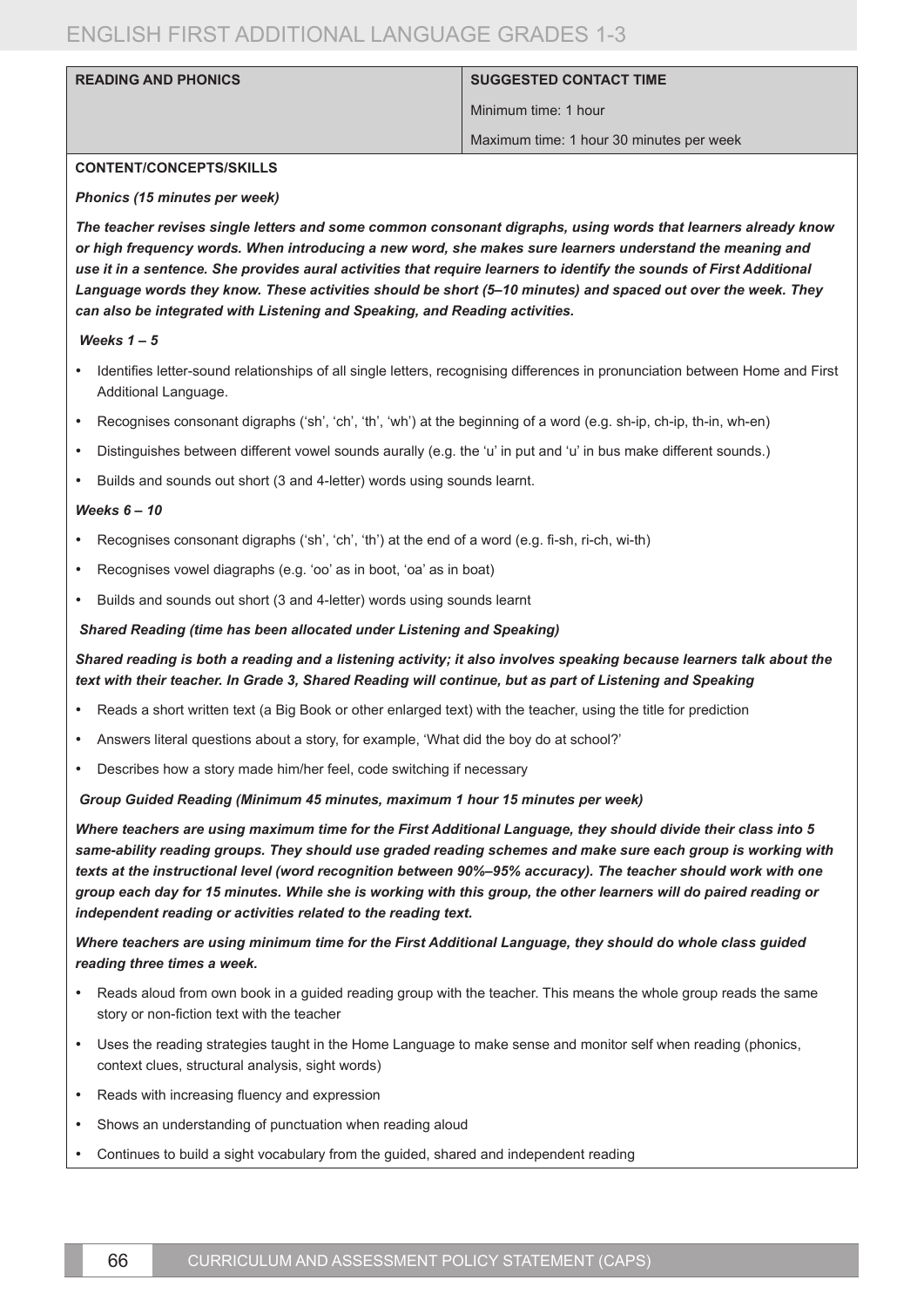### **READING AND PHONICS SUGGESTED CONTACT TIME**

Minimum time: 1 hour

Maximum time: 1 hour 30 minutes per week

#### **CONTENT/CONCEPTS/SKILLS**

#### *Phonics (15 minutes per week)*

*The teacher revises single letters and some common consonant digraphs, using words that learners already know or high frequency words. When introducing a new word, she makes sure learners understand the meaning and use it in a sentence. She provides aural activities that require learners to identify the sounds of First Additional Language words they know. These activities should be short (5–10 minutes) and spaced out over the week. They can also be integrated with Listening and Speaking, and Reading activities.*

#### *Weeks 1 – 5*

- • Identifies letter-sound relationships of all single letters, recognising differences in pronunciation between Home and First Additional Language.
- Recognises consonant digraphs ('sh', 'ch', 'th', 'wh') at the beginning of a word (e.g. sh-ip, ch-ip, th-in, wh-en)
- Distinguishes between different vowel sounds aurally (e.g. the 'u' in put and 'u' in bus make different sounds.)
- Builds and sounds out short (3 and 4-letter) words using sounds learnt.

#### *Weeks 6 – 10*

- Recognises consonant digraphs ('sh', 'ch', 'th') at the end of a word (e.g. fi-sh, ri-ch, wi-th)
- Recognises vowel diagraphs (e.g. 'oo' as in boot, 'oa' as in boat)
- Builds and sounds out short (3 and 4-letter) words using sounds learnt

#### *Shared Reading (time has been allocated under Listening and Speaking)*

# *Shared reading is both a reading and a listening activity; it also involves speaking because learners talk about the text with their teacher. In Grade 3, Shared Reading will continue, but as part of Listening and Speaking*

- Reads a short written text (a Big Book or other enlarged text) with the teacher, using the title for prediction
- Answers literal questions about a story, for example, 'What did the boy do at school?'
- Describes how a story made him/her feel, code switching if necessary

#### *Group Guided Reading (Minimum 45 minutes, maximum 1 hour 15 minutes per week)*

*Where teachers are using maximum time for the First Additional Language, they should divide their class into 5 same-ability reading groups. They should use graded reading schemes and make sure each group is working with texts at the instructional level (word recognition between 90%–95% accuracy). The teacher should work with one group each day for 15 minutes. While she is working with this group, the other learners will do paired reading or independent reading or activities related to the reading text.* 

# *Where teachers are using minimum time for the First Additional Language, they should do whole class guided reading three times a week.*

- Reads aloud from own book in a guided reading group with the teacher. This means the whole group reads the same story or non-fiction text with the teacher
- Uses the reading strategies taught in the Home Language to make sense and monitor self when reading (phonics, context clues, structural analysis, sight words)
- Reads with increasing fluency and expression
- Shows an understanding of punctuation when reading aloud
- Continues to build a sight vocabulary from the guided, shared and independent reading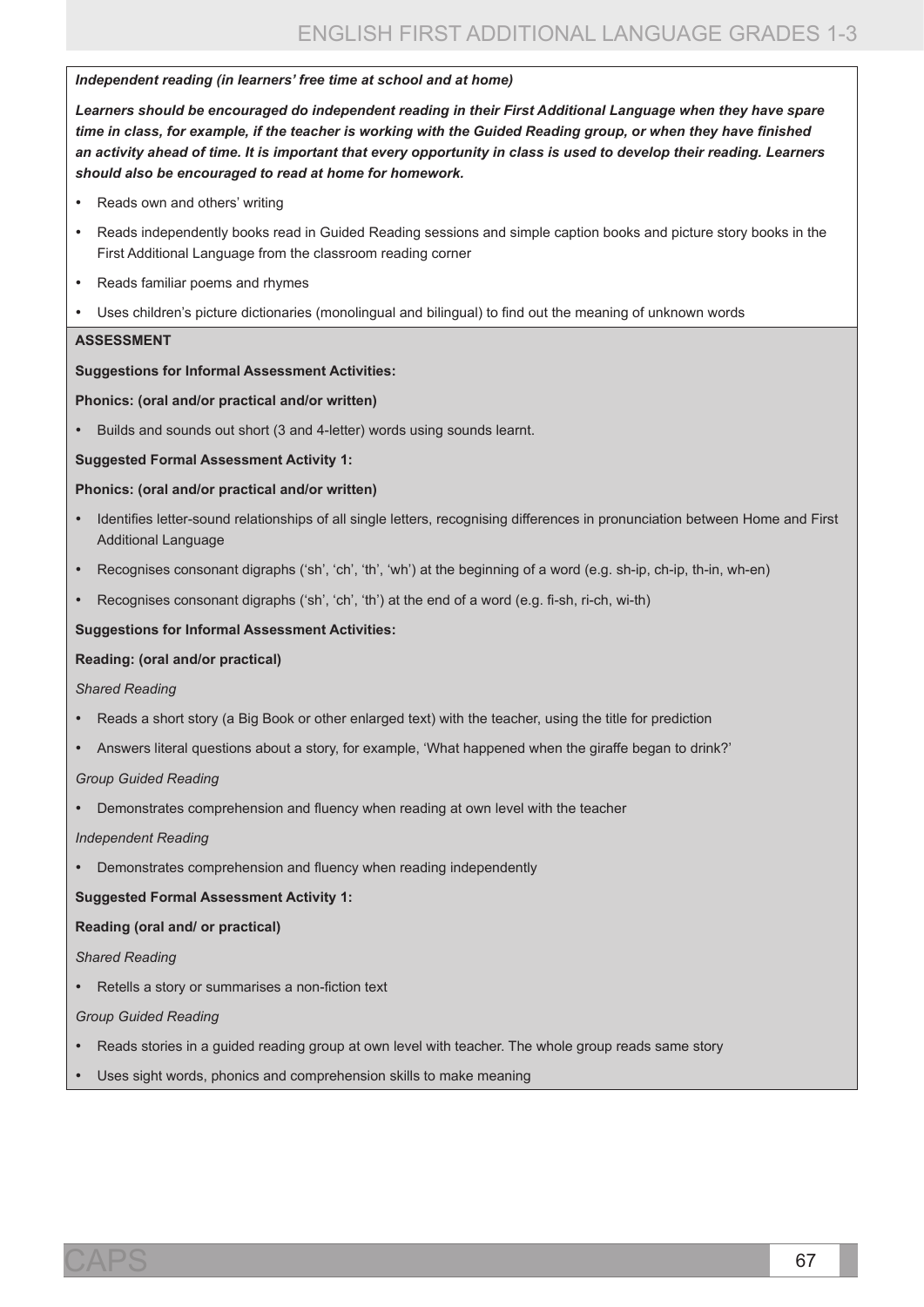#### *Independent reading (in learners' free time at school and at home)*

*Learners should be encouraged do independent reading in their First Additional Language when they have spare time in class, for example, if the teacher is working with the Guided Reading group, or when they have finished an activity ahead of time. It is important that every opportunity in class is used to develop their reading. Learners should also be encouraged to read at home for homework.* 

- Reads own and others' writing
- • Reads independently books read in Guided Reading sessions and simple caption books and picture story books in the First Additional Language from the classroom reading corner
- Reads familiar poems and rhymes
- Uses children's picture dictionaries (monolingual and bilingual) to find out the meaning of unknown words

#### **ASSESSMENT**

### **Suggestions for Informal Assessment Activities:**

#### **Phonics: (oral and/or practical and/or written)**

Builds and sounds out short (3 and 4-letter) words using sounds learnt.

### **Suggested Formal Assessment Activity 1:**

### **Phonics: (oral and/or practical and/or written)**

- Identifies letter-sound relationships of all single letters, recognising differences in pronunciation between Home and First Additional Language
- Recognises consonant digraphs ('sh', 'ch', 'th', 'wh') at the beginning of a word (e.g. sh-ip, ch-ip, th-in, wh-en)
- Recognises consonant digraphs ('sh', 'ch', 'th') at the end of a word (e.g. fi-sh, ri-ch, wi-th)

### **Suggestions for Informal Assessment Activities:**

#### **Reading: (oral and/or practical)**

*Shared Reading*

- Reads a short story (a Big Book or other enlarged text) with the teacher, using the title for prediction
- Answers literal questions about a story, for example, 'What happened when the giraffe began to drink?'

#### *Group Guided Reading*

Demonstrates comprehension and fluency when reading at own level with the teacher

#### *Independent Reading*

Demonstrates comprehension and fluency when reading independently

# **Suggested Formal Assessment Activity 1:**

# **Reading (oral and/ or practical)**

#### *Shared Reading*

Retells a story or summarises a non-fiction text

# *Group Guided Reading*

- Reads stories in a guided reading group at own level with teacher. The whole group reads same story
- Uses sight words, phonics and comprehension skills to make meaning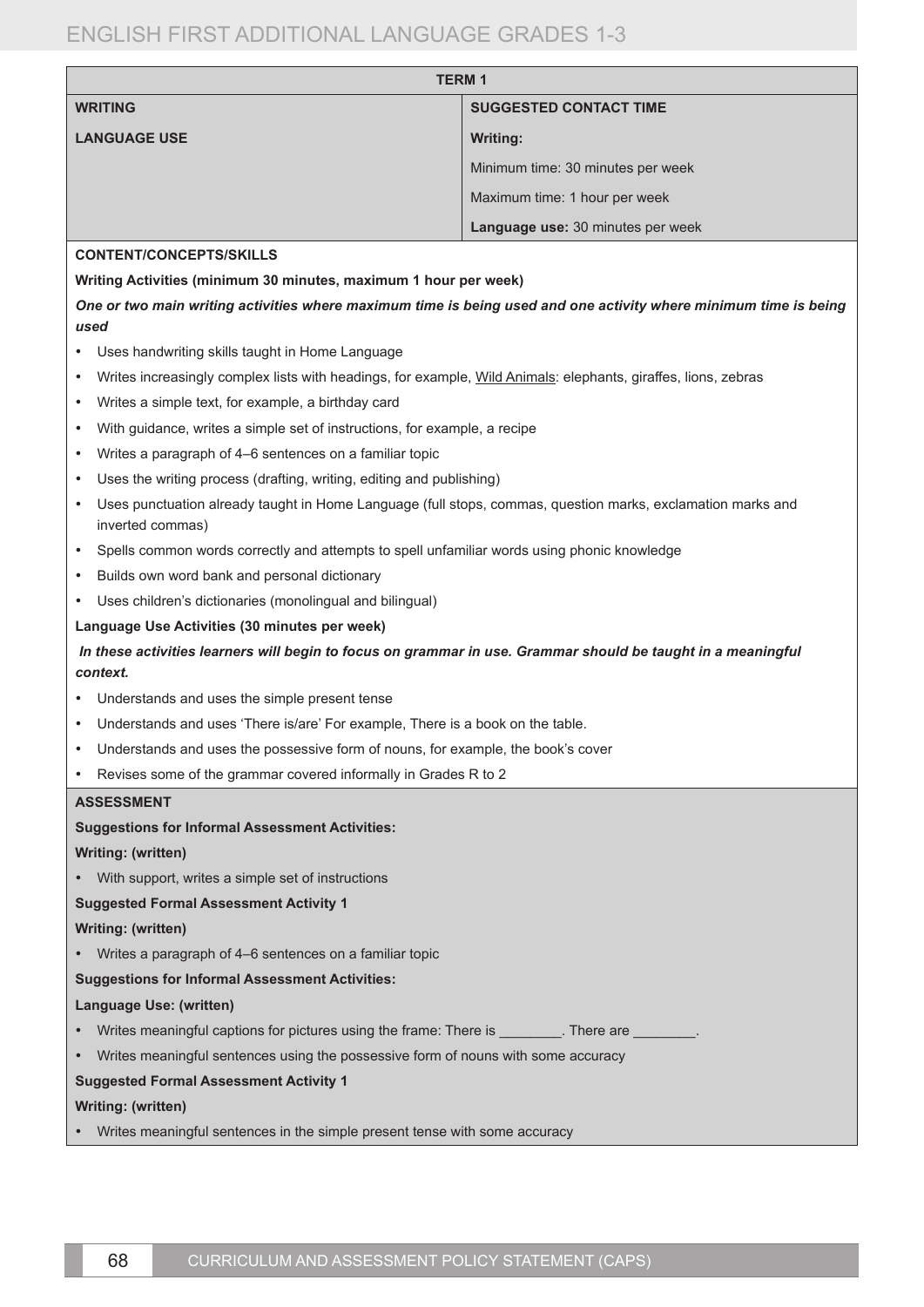| <b>TERM1</b>                                                                                                                                 |                                                                                                                  |  |
|----------------------------------------------------------------------------------------------------------------------------------------------|------------------------------------------------------------------------------------------------------------------|--|
| <b>WRITING</b><br><b>SUGGESTED CONTACT TIME</b>                                                                                              |                                                                                                                  |  |
| <b>LANGUAGE USE</b>                                                                                                                          | <b>Writing:</b>                                                                                                  |  |
|                                                                                                                                              | Minimum time: 30 minutes per week                                                                                |  |
|                                                                                                                                              | Maximum time: 1 hour per week                                                                                    |  |
|                                                                                                                                              | Language use: 30 minutes per week                                                                                |  |
| <b>CONTENT/CONCEPTS/SKILLS</b>                                                                                                               |                                                                                                                  |  |
| Writing Activities (minimum 30 minutes, maximum 1 hour per week)                                                                             |                                                                                                                  |  |
|                                                                                                                                              | One or two main writing activities where maximum time is being used and one activity where minimum time is being |  |
| used                                                                                                                                         |                                                                                                                  |  |
| Uses handwriting skills taught in Home Language<br>٠                                                                                         |                                                                                                                  |  |
| Writes increasingly complex lists with headings, for example, Wild Animals: elephants, giraffes, lions, zebras<br>$\bullet$                  |                                                                                                                  |  |
| Writes a simple text, for example, a birthday card                                                                                           |                                                                                                                  |  |
| With guidance, writes a simple set of instructions, for example, a recipe<br>٠                                                               |                                                                                                                  |  |
| Writes a paragraph of 4-6 sentences on a familiar topic                                                                                      |                                                                                                                  |  |
| Uses the writing process (drafting, writing, editing and publishing)<br>$\bullet$                                                            |                                                                                                                  |  |
| Uses punctuation already taught in Home Language (full stops, commas, question marks, exclamation marks and<br>$\bullet$<br>inverted commas) |                                                                                                                  |  |
| Spells common words correctly and attempts to spell unfamiliar words using phonic knowledge<br>٠                                             |                                                                                                                  |  |
| Builds own word bank and personal dictionary<br>$\bullet$                                                                                    |                                                                                                                  |  |
| Uses children's dictionaries (monolingual and bilingual)<br>$\bullet$                                                                        |                                                                                                                  |  |
| Language Use Activities (30 minutes per week)                                                                                                |                                                                                                                  |  |
| In these activities learners will begin to focus on grammar in use. Grammar should be taught in a meaningful<br>context.                     |                                                                                                                  |  |
| Understands and uses the simple present tense                                                                                                |                                                                                                                  |  |
| Understands and uses 'There is/are' For example, There is a book on the table.<br>$\bullet$                                                  |                                                                                                                  |  |
| Understands and uses the possessive form of nouns, for example, the book's cover                                                             |                                                                                                                  |  |
| Revises some of the grammar covered informally in Grades R to 2<br>٠                                                                         |                                                                                                                  |  |
| <b>ASSESSMENT</b>                                                                                                                            |                                                                                                                  |  |
| <b>Suggestions for Informal Assessment Activities:</b>                                                                                       |                                                                                                                  |  |
| Writing: (written)                                                                                                                           |                                                                                                                  |  |
| With support, writes a simple set of instructions                                                                                            |                                                                                                                  |  |
| <b>Suggested Formal Assessment Activity 1</b>                                                                                                |                                                                                                                  |  |
| Writing: (written)                                                                                                                           |                                                                                                                  |  |
| • Writes a paragraph of 4–6 sentences on a familiar topic                                                                                    |                                                                                                                  |  |
| <b>Suggestions for Informal Assessment Activities:</b>                                                                                       |                                                                                                                  |  |
| Language Use: (written)                                                                                                                      |                                                                                                                  |  |
| Writes meaningful captions for pictures using the frame: There is ________. There are ________.                                              |                                                                                                                  |  |
| Writes meaningful sentences using the possessive form of nouns with some accuracy<br>$\bullet$                                               |                                                                                                                  |  |
| <b>Suggested Formal Assessment Activity 1</b>                                                                                                |                                                                                                                  |  |
| Writing: (written)                                                                                                                           |                                                                                                                  |  |
| Writes meaningful sentences in the simple present tense with some accuracy                                                                   |                                                                                                                  |  |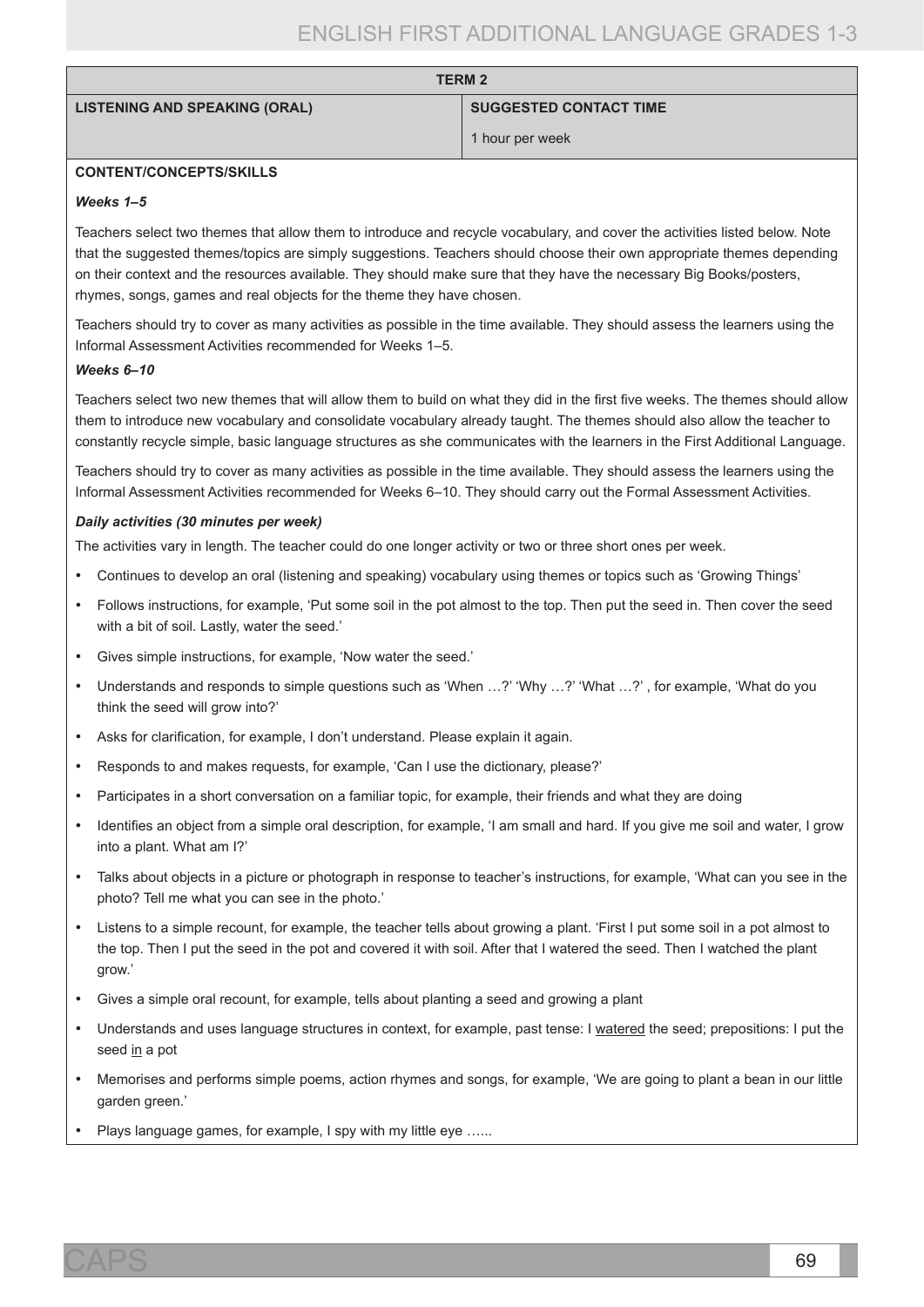| <b>LISTENING AND SPEAKING (ORAL)</b> |  |  |  |
|--------------------------------------|--|--|--|
|--------------------------------------|--|--|--|

#### **SUGGESTED CONTACT TIME**

1 hour per week

### **CONTENT/CONCEPTS/SKILLS**

#### *Weeks 1–5*

Teachers select two themes that allow them to introduce and recycle vocabulary, and cover the activities listed below. Note that the suggested themes/topics are simply suggestions. Teachers should choose their own appropriate themes depending on their context and the resources available. They should make sure that they have the necessary Big Books/posters, rhymes, songs, games and real objects for the theme they have chosen.

**TERM 2**

Teachers should try to cover as many activities as possible in the time available. They should assess the learners using the Informal Assessment Activities recommended for Weeks 1–5.

#### *Weeks 6–10*

Teachers select two new themes that will allow them to build on what they did in the first five weeks. The themes should allow them to introduce new vocabulary and consolidate vocabulary already taught. The themes should also allow the teacher to constantly recycle simple, basic language structures as she communicates with the learners in the First Additional Language.

Teachers should try to cover as many activities as possible in the time available. They should assess the learners using the Informal Assessment Activities recommended for Weeks 6–10. They should carry out the Formal Assessment Activities.

#### *Daily activities (30 minutes per week)*

The activities vary in length. The teacher could do one longer activity or two or three short ones per week.

- Continues to develop an oral (listening and speaking) vocabulary using themes or topics such as 'Growing Things'
- Follows instructions, for example, 'Put some soil in the pot almost to the top. Then put the seed in. Then cover the seed with a bit of soil. Lastly, water the seed.'
- Gives simple instructions, for example, 'Now water the seed.'
- Understands and responds to simple questions such as 'When ...?' 'Why ...?' 'What ...?' , for example, 'What do you think the seed will grow into?'
- • Asks for clarification, for example, I don't understand. Please explain it again.
- Responds to and makes requests, for example, 'Can I use the dictionary, please?'
- Participates in a short conversation on a familiar topic, for example, their friends and what they are doing
- Identifies an object from a simple oral description, for example, 'I am small and hard. If you give me soil and water, I grow into a plant. What am I?'
- • Talks about objects in a picture or photograph in response to teacher's instructions, for example, 'What can you see in the photo? Tell me what you can see in the photo.'
- Listens to a simple recount, for example, the teacher tells about growing a plant. 'First I put some soil in a pot almost to the top. Then I put the seed in the pot and covered it with soil. After that I watered the seed. Then I watched the plant grow.'
- • Gives a simple oral recount, for example, tells about planting a seed and growing a plant
- Understands and uses language structures in context, for example, past tense: I watered the seed; prepositions: I put the seed in a pot
- Memorises and performs simple poems, action rhymes and songs, for example, 'We are going to plant a bean in our little garden green.'
- Plays language games, for example, I spy with my little eye ......

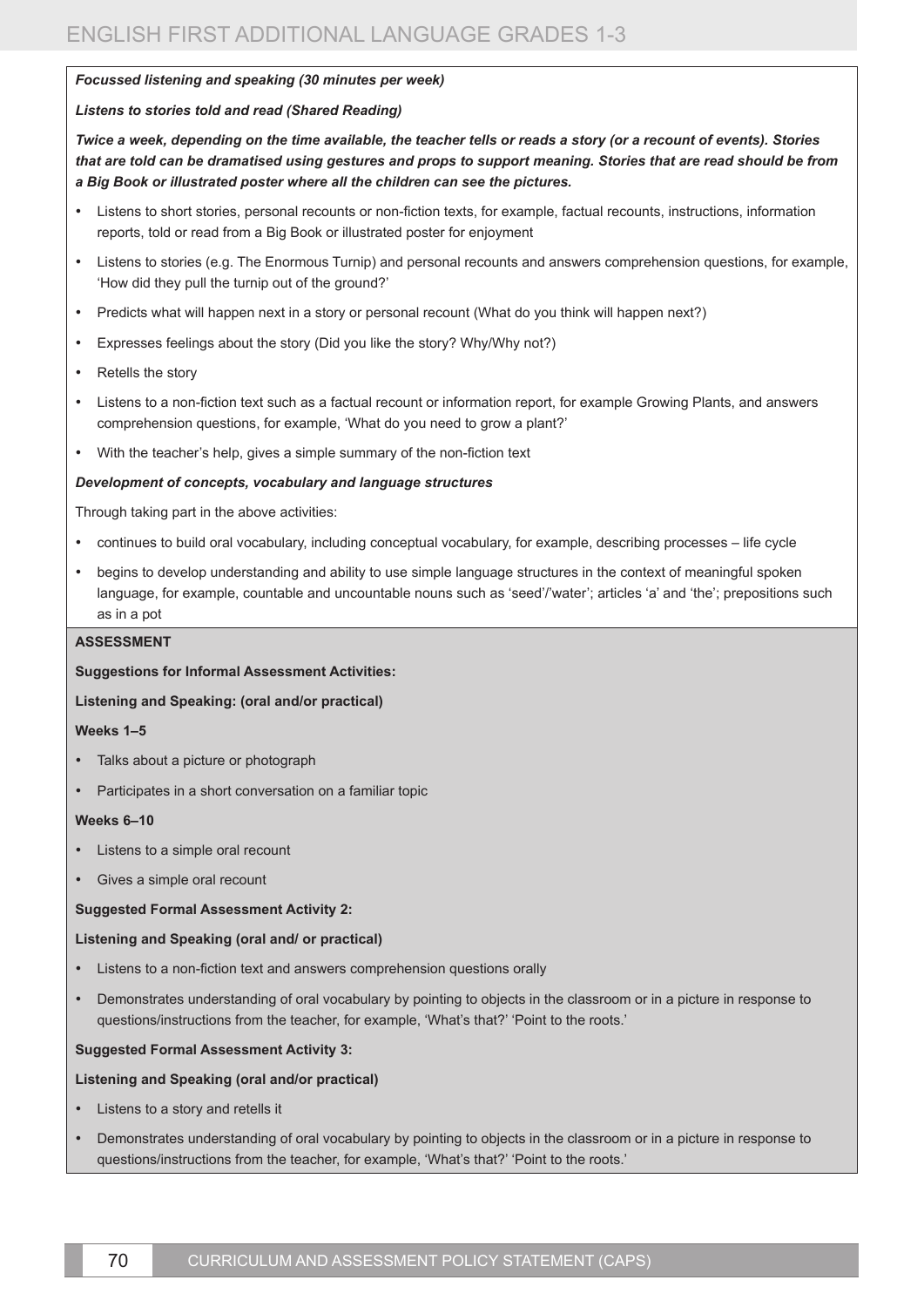### *Focussed listening and speaking (30 minutes per week)*

### *Listens to stories told and read (Shared Reading)*

*Twice a week, depending on the time available, the teacher tells or reads a story (or a recount of events). Stories that are told can be dramatised using gestures and props to support meaning. Stories that are read should be from a Big Book or illustrated poster where all the children can see the pictures.*

- Listens to short stories, personal recounts or non-fiction texts, for example, factual recounts, instructions, information reports, told or read from a Big Book or illustrated poster for enjoyment
- Listens to stories (e.g. The Enormous Turnip) and personal recounts and answers comprehension questions, for example, 'How did they pull the turnip out of the ground?'
- Predicts what will happen next in a story or personal recount (What do you think will happen next?)
- Expresses feelings about the story (Did you like the story? Why/Why not?)
- Retells the story
- • Listens to a non-fiction text such as a factual recount or information report, for example Growing Plants, and answers comprehension questions, for example, 'What do you need to grow a plant?'
- • With the teacher's help, gives a simple summary of the non-fiction text

### *Development of concepts, vocabulary and language structures*

Through taking part in the above activities:

- • continues to build oral vocabulary, including conceptual vocabulary, for example, describing processes life cycle
- begins to develop understanding and ability to use simple language structures in the context of meaningful spoken language, for example, countable and uncountable nouns such as 'seed'/'water'; articles 'a' and 'the'; prepositions such as in a pot

#### **ASSESSMENT**

#### **Suggestions for Informal Assessment Activities:**

# **Listening and Speaking: (oral and/or practical)**

#### **Weeks 1–5**

- • Talks about a picture or photograph
- Participates in a short conversation on a familiar topic

#### **Weeks 6–10**

- Listens to a simple oral recount
- Gives a simple oral recount

#### **Suggested Formal Assessment Activity 2:**

#### **Listening and Speaking (oral and/ or practical)**

- Listens to a non-fiction text and answers comprehension questions orally
- Demonstrates understanding of oral vocabulary by pointing to objects in the classroom or in a picture in response to questions/instructions from the teacher, for example, 'What's that?' 'Point to the roots.'

#### **Suggested Formal Assessment Activity 3:**

#### **Listening and Speaking (oral and/or practical)**

- Listens to a story and retells it
- Demonstrates understanding of oral vocabulary by pointing to objects in the classroom or in a picture in response to questions/instructions from the teacher, for example, 'What's that?' 'Point to the roots.'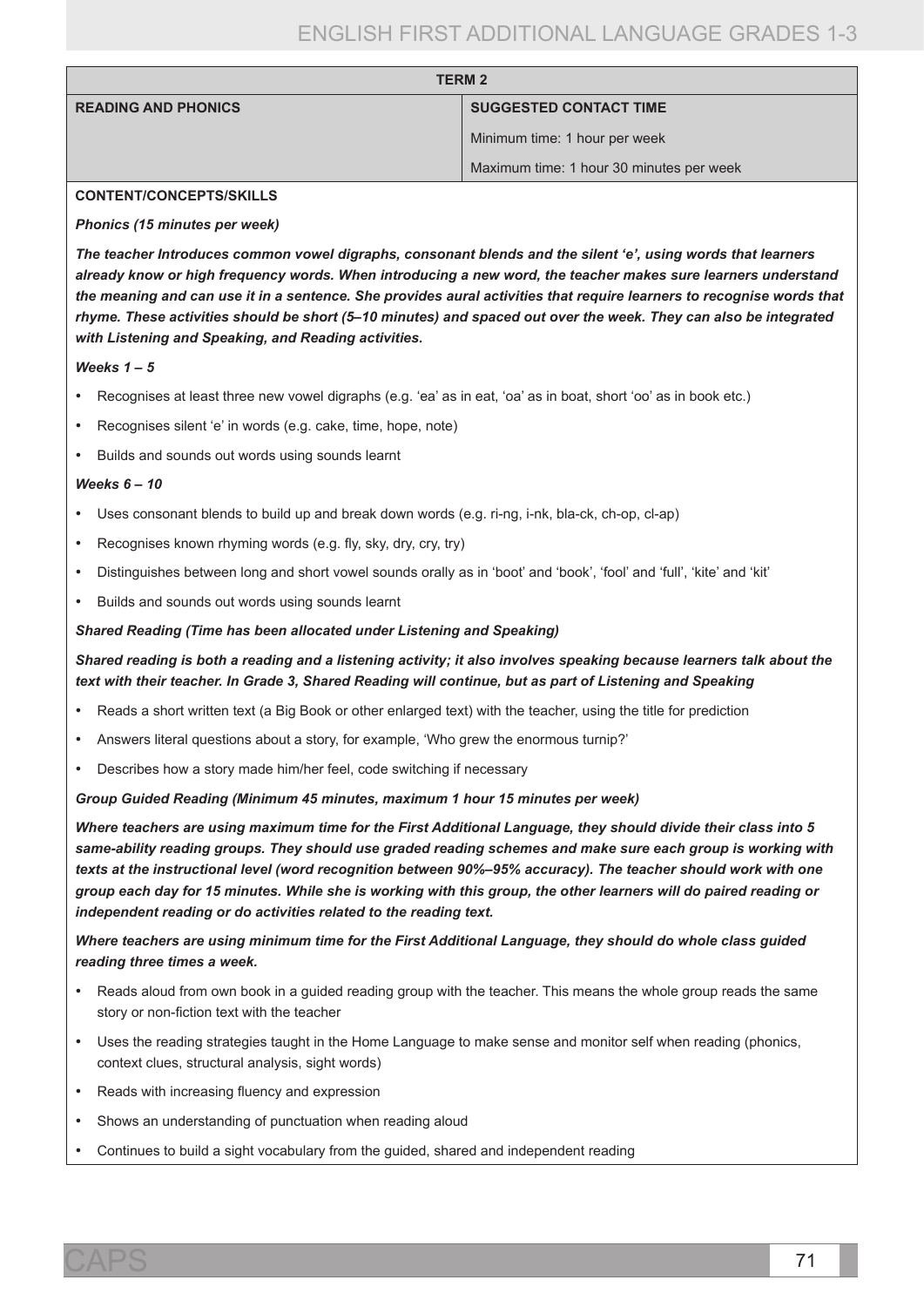| <b>TERM 2</b>              |                                          |
|----------------------------|------------------------------------------|
| <b>READING AND PHONICS</b> | <b>SUGGESTED CONTACT TIME</b>            |
|                            | Minimum time: 1 hour per week            |
|                            | Maximum time: 1 hour 30 minutes per week |

#### **CONTENT/CONCEPTS/SKILLS**

#### *Phonics (15 minutes per week)*

*The teacher Introduces common vowel digraphs, consonant blends and the silent 'e', using words that learners already know or high frequency words. When introducing a new word, the teacher makes sure learners understand the meaning and can use it in a sentence. She provides aural activities that require learners to recognise words that rhyme. These activities should be short (5–10 minutes) and spaced out over the week. They can also be integrated with Listening and Speaking, and Reading activities.*

#### *Weeks 1 – 5*

- Recognises at least three new vowel digraphs (e.g. 'ea' as in eat, 'oa' as in boat, short 'oo' as in book etc.)
- Recognises silent 'e' in words (e.g. cake, time, hope, note)
- Builds and sounds out words using sounds learnt

#### *Weeks 6 – 10*

- • Uses consonant blends to build up and break down words (e.g. ri-ng, i-nk, bla-ck, ch-op, cl-ap)
- Recognises known rhyming words (e.g. fly, sky, dry, cry, try)
- Distinguishes between long and short vowel sounds orally as in 'boot' and 'book', 'fool' and 'full', 'kite' and 'kit'
- Builds and sounds out words using sounds learnt

#### *Shared Reading (Time has been allocated under Listening and Speaking)*

# *Shared reading is both a reading and a listening activity; it also involves speaking because learners talk about the text with their teacher. In Grade 3, Shared Reading will continue, but as part of Listening and Speaking*

- Reads a short written text (a Big Book or other enlarged text) with the teacher, using the title for prediction
- Answers literal questions about a story, for example, 'Who grew the enormous turnip?'
- Describes how a story made him/her feel, code switching if necessary

#### *Group Guided Reading (Minimum 45 minutes, maximum 1 hour 15 minutes per week)*

*Where teachers are using maximum time for the First Additional Language, they should divide their class into 5 same-ability reading groups. They should use graded reading schemes and make sure each group is working with texts at the instructional level (word recognition between 90%–95% accuracy). The teacher should work with one group each day for 15 minutes. While she is working with this group, the other learners will do paired reading or independent reading or do activities related to the reading text.* 

# *Where teachers are using minimum time for the First Additional Language, they should do whole class guided reading three times a week.*

- Reads aloud from own book in a guided reading group with the teacher. This means the whole group reads the same story or non-fiction text with the teacher
- Uses the reading strategies taught in the Home Language to make sense and monitor self when reading (phonics, context clues, structural analysis, sight words)
- Reads with increasing fluency and expression
- Shows an understanding of punctuation when reading aloud
- Continues to build a sight vocabulary from the guided, shared and independent reading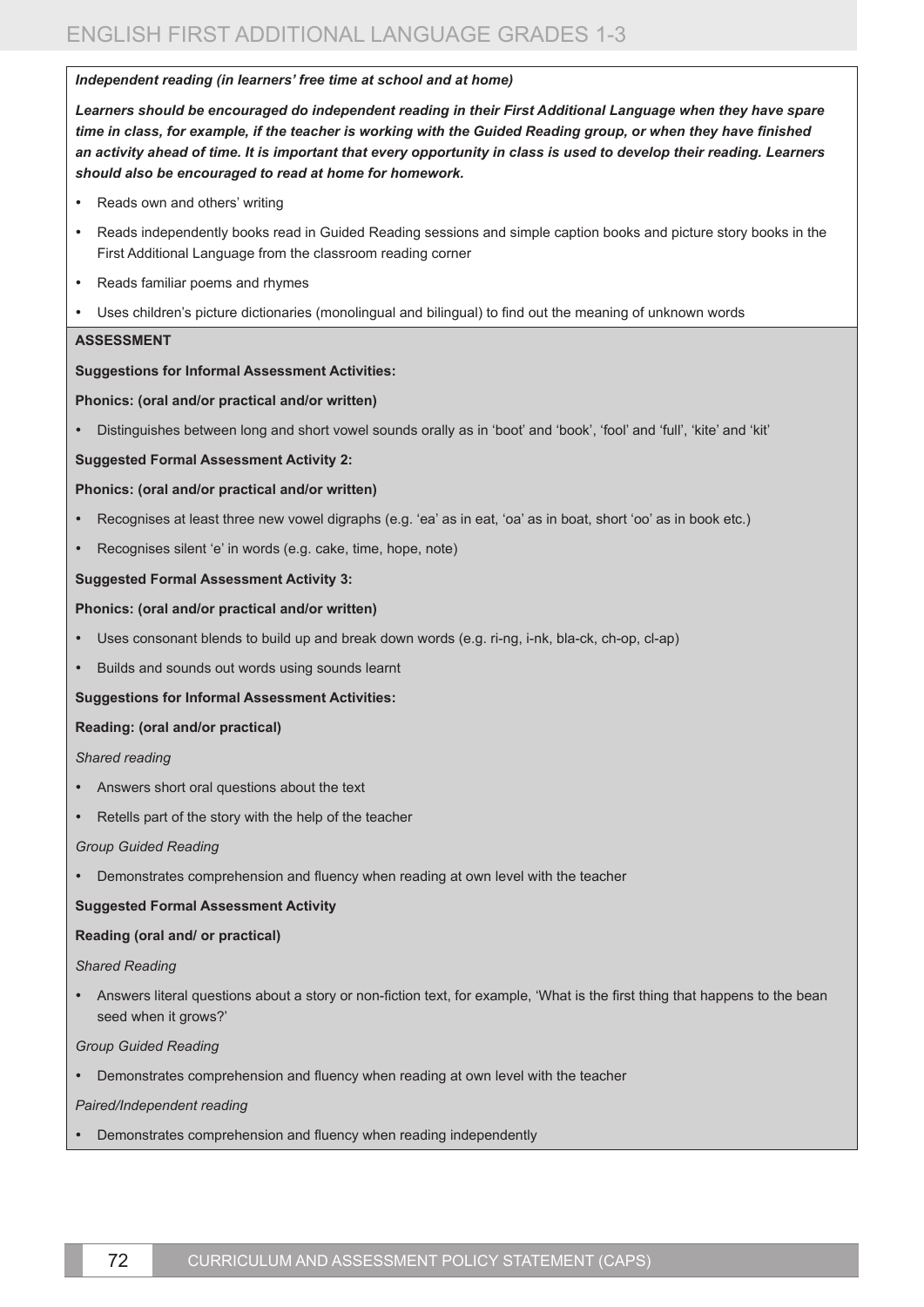#### *Independent reading (in learners' free time at school and at home)*

*Learners should be encouraged do independent reading in their First Additional Language when they have spare time in class, for example, if the teacher is working with the Guided Reading group, or when they have finished an activity ahead of time. It is important that every opportunity in class is used to develop their reading. Learners should also be encouraged to read at home for homework.* 

- Reads own and others' writing
- • Reads independently books read in Guided Reading sessions and simple caption books and picture story books in the First Additional Language from the classroom reading corner
- Reads familiar poems and rhymes
- Uses children's picture dictionaries (monolingual and bilingual) to find out the meaning of unknown words

### **ASSESSMENT**

### **Suggestions for Informal Assessment Activities:**

### **Phonics: (oral and/or practical and/or written)**

Distinguishes between long and short vowel sounds orally as in 'boot' and 'book', 'fool' and 'full', 'kite' and 'kit'

#### **Suggested Formal Assessment Activity 2:**

#### **Phonics: (oral and/or practical and/or written)**

- Recognises at least three new vowel digraphs (e.g. 'ea' as in eat, 'oa' as in boat, short 'oo' as in book etc.)
- Recognises silent 'e' in words (e.g. cake, time, hope, note)

### **Suggested Formal Assessment Activity 3:**

### **Phonics: (oral and/or practical and/or written)**

- Uses consonant blends to build up and break down words (e.g. ri-ng, i-nk, bla-ck, ch-op, cl-ap)
- Builds and sounds out words using sounds learnt

#### **Suggestions for Informal Assessment Activities:**

#### **Reading: (oral and/or practical)**

*Shared reading*

- • Answers short oral questions about the text
- Retells part of the story with the help of the teacher

#### *Group Guided Reading*

• Demonstrates comprehension and fluency when reading at own level with the teacher

#### **Suggested Formal Assessment Activity**

# **Reading (oral and/ or practical)**

#### *Shared Reading*

• Answers literal questions about a story or non-fiction text, for example, 'What is the first thing that happens to the bean seed when it grows?'

#### *Group Guided Reading*

• Demonstrates comprehension and fluency when reading at own level with the teacher

#### *Paired/Independent reading*

Demonstrates comprehension and fluency when reading independently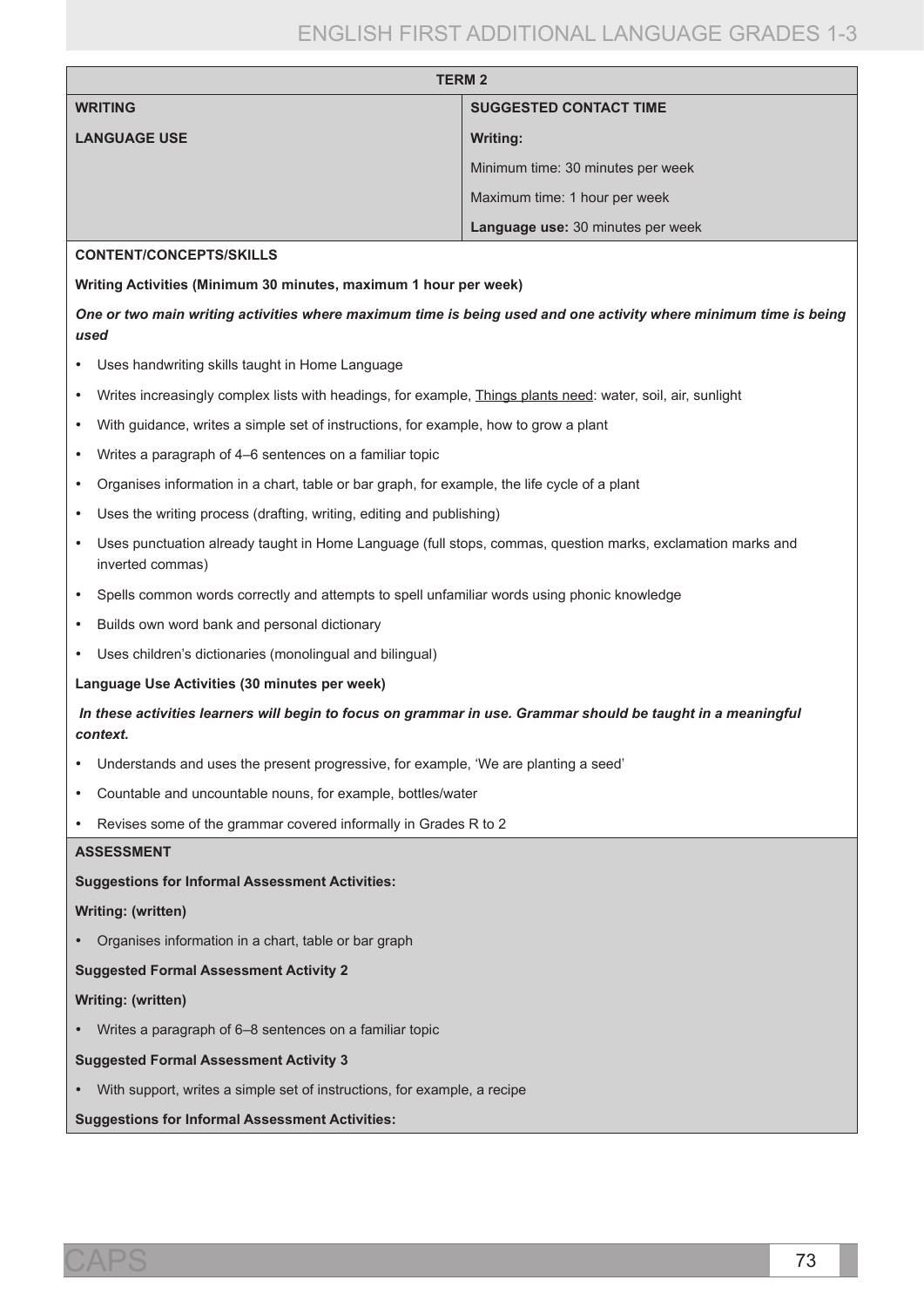| <b>TERM 2</b>                                                                                                                                |                                   |  |
|----------------------------------------------------------------------------------------------------------------------------------------------|-----------------------------------|--|
| <b>WRITING</b>                                                                                                                               | <b>SUGGESTED CONTACT TIME</b>     |  |
| <b>LANGUAGE USE</b>                                                                                                                          | Writing:                          |  |
|                                                                                                                                              | Minimum time: 30 minutes per week |  |
|                                                                                                                                              | Maximum time: 1 hour per week     |  |
|                                                                                                                                              | Language use: 30 minutes per week |  |
| <b>CONTENT/CONCEPTS/SKILLS</b>                                                                                                               |                                   |  |
| Writing Activities (Minimum 30 minutes, maximum 1 hour per week)                                                                             |                                   |  |
| One or two main writing activities where maximum time is being used and one activity where minimum time is being<br>used                     |                                   |  |
| Uses handwriting skills taught in Home Language                                                                                              |                                   |  |
| Writes increasingly complex lists with headings, for example, <i>Things plants need:</i> water, soil, air, sunlight                          |                                   |  |
| With guidance, writes a simple set of instructions, for example, how to grow a plant<br>٠                                                    |                                   |  |
| Writes a paragraph of 4–6 sentences on a familiar topic<br>٠                                                                                 |                                   |  |
| Organises information in a chart, table or bar graph, for example, the life cycle of a plant<br>٠                                            |                                   |  |
| Uses the writing process (drafting, writing, editing and publishing)<br>$\bullet$                                                            |                                   |  |
| Uses punctuation already taught in Home Language (full stops, commas, question marks, exclamation marks and<br>$\bullet$<br>inverted commas) |                                   |  |
| Spells common words correctly and attempts to spell unfamiliar words using phonic knowledge                                                  |                                   |  |

- • Builds own word bank and personal dictionary
- • Uses children's dictionaries (monolingual and bilingual)

#### **Language Use Activities (30 minutes per week)**

*In these activities learners will begin to focus on grammar in use. Grammar should be taught in a meaningful context.*

- • Understands and uses the present progressive, for example, 'We are planting a seed'
- • Countable and uncountable nouns, for example, bottles/water
- • Revises some of the grammar covered informally in Grades R to 2

#### **ASSESSMENT**

**Suggestions for Informal Assessment Activities:** 

#### **Writing: (written)**

• Organises information in a chart, table or bar graph

**Suggested Formal Assessment Activity 2**

#### **Writing: (written)**

• Writes a paragraph of 6–8 sentences on a familiar topic

#### **Suggested Formal Assessment Activity 3**

• With support, writes a simple set of instructions, for example, a recipe

**Suggestions for Informal Assessment Activities:**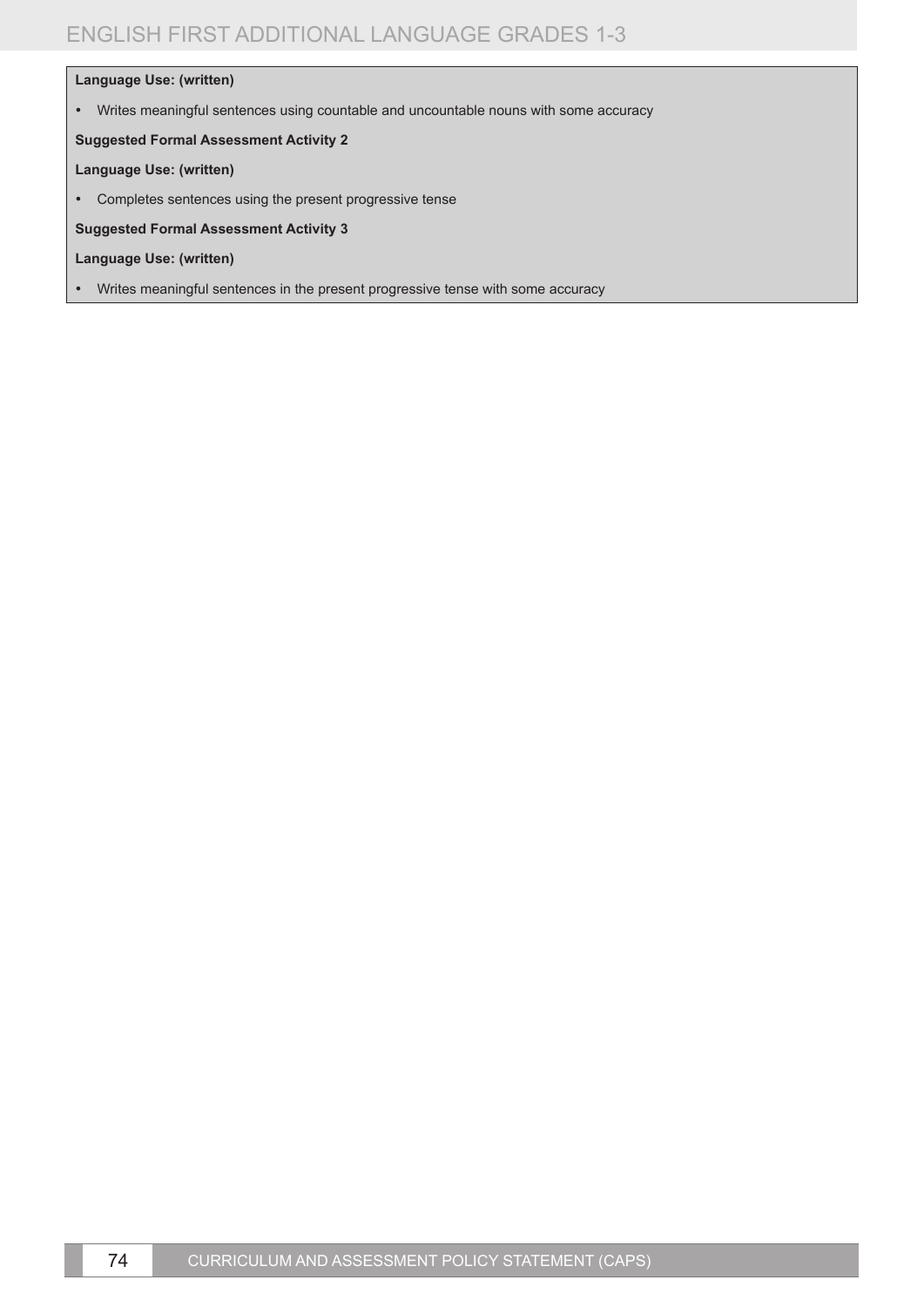# **Language Use: (written)**

• Writes meaningful sentences using countable and uncountable nouns with some accuracy

### **Suggested Formal Assessment Activity 2**

#### **Language Use: (written)**

• Completes sentences using the present progressive tense

**Suggested Formal Assessment Activity 3**

- **Language Use: (written)**
- • Writes meaningful sentences in the present progressive tense with some accuracy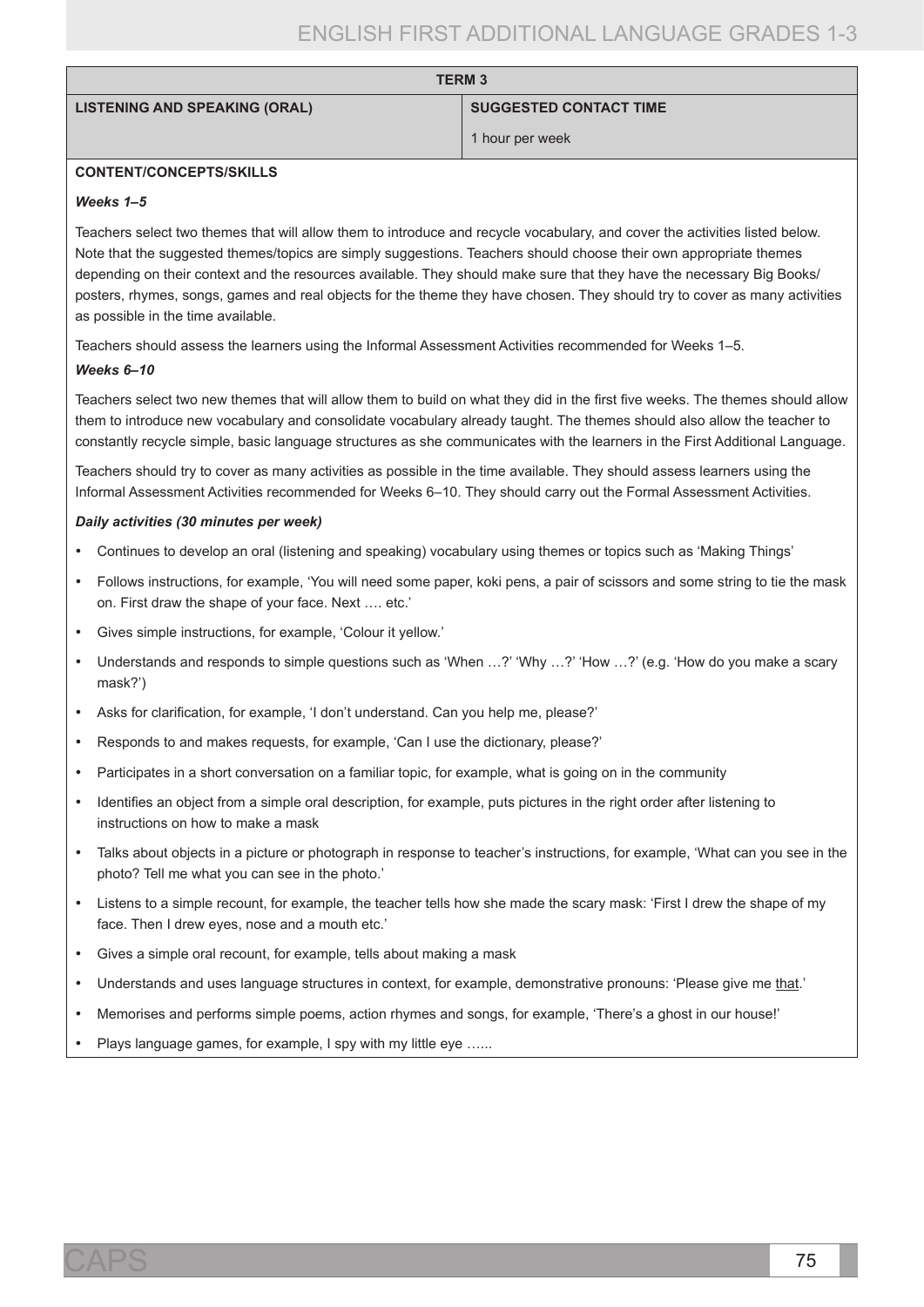| <b>LISTENING AND SPEAKING (ORAL)</b> |  |  |  |
|--------------------------------------|--|--|--|
|--------------------------------------|--|--|--|

**SUGGESTED CONTACT TIME** 

```
1 hour per week
```
### **CONTENT/CONCEPTS/SKILLS**

#### *Weeks 1–5*

Teachers select two themes that will allow them to introduce and recycle vocabulary, and cover the activities listed below. Note that the suggested themes/topics are simply suggestions. Teachers should choose their own appropriate themes depending on their context and the resources available. They should make sure that they have the necessary Big Books/ posters, rhymes, songs, games and real objects for the theme they have chosen. They should try to cover as many activities as possible in the time available.

**TERM 3**

Teachers should assess the learners using the Informal Assessment Activities recommended for Weeks 1–5.

### *Weeks 6–10*

Teachers select two new themes that will allow them to build on what they did in the first five weeks. The themes should allow them to introduce new vocabulary and consolidate vocabulary already taught. The themes should also allow the teacher to constantly recycle simple, basic language structures as she communicates with the learners in the First Additional Language.

Teachers should try to cover as many activities as possible in the time available. They should assess learners using the Informal Assessment Activities recommended for Weeks 6–10. They should carry out the Formal Assessment Activities.

### *Daily activities (30 minutes per week)*

- • Continues to develop an oral (listening and speaking) vocabulary using themes or topics such as 'Making Things'
- • Follows instructions, for example, 'You will need some paper, koki pens, a pair of scissors and some string to tie the mask on. First draw the shape of your face. Next …. etc.'
- • Gives simple instructions, for example, 'Colour it yellow.'
- Understands and responds to simple questions such as 'When ...?' 'Why ...?' 'How ...?' (e.g. 'How do you make a scary mask?')
- Asks for clarification, for example, 'I don't understand. Can you help me, please?'
- Responds to and makes requests, for example, 'Can I use the dictionary, please?'
- Participates in a short conversation on a familiar topic, for example, what is going on in the community
- Identifies an object from a simple oral description, for example, puts pictures in the right order after listening to instructions on how to make a mask
- Talks about objects in a picture or photograph in response to teacher's instructions, for example, 'What can you see in the photo? Tell me what you can see in the photo.'
- Listens to a simple recount, for example, the teacher tells how she made the scary mask: 'First I drew the shape of my face. Then I drew eyes, nose and a mouth etc.'
- Gives a simple oral recount, for example, tells about making a mask
- Understands and uses language structures in context, for example, demonstrative pronouns: 'Please give me that.'
- • Memorises and performs simple poems, action rhymes and songs, for example, 'There's a ghost in our house!'
- Plays language games, for example, I spy with my little eye ......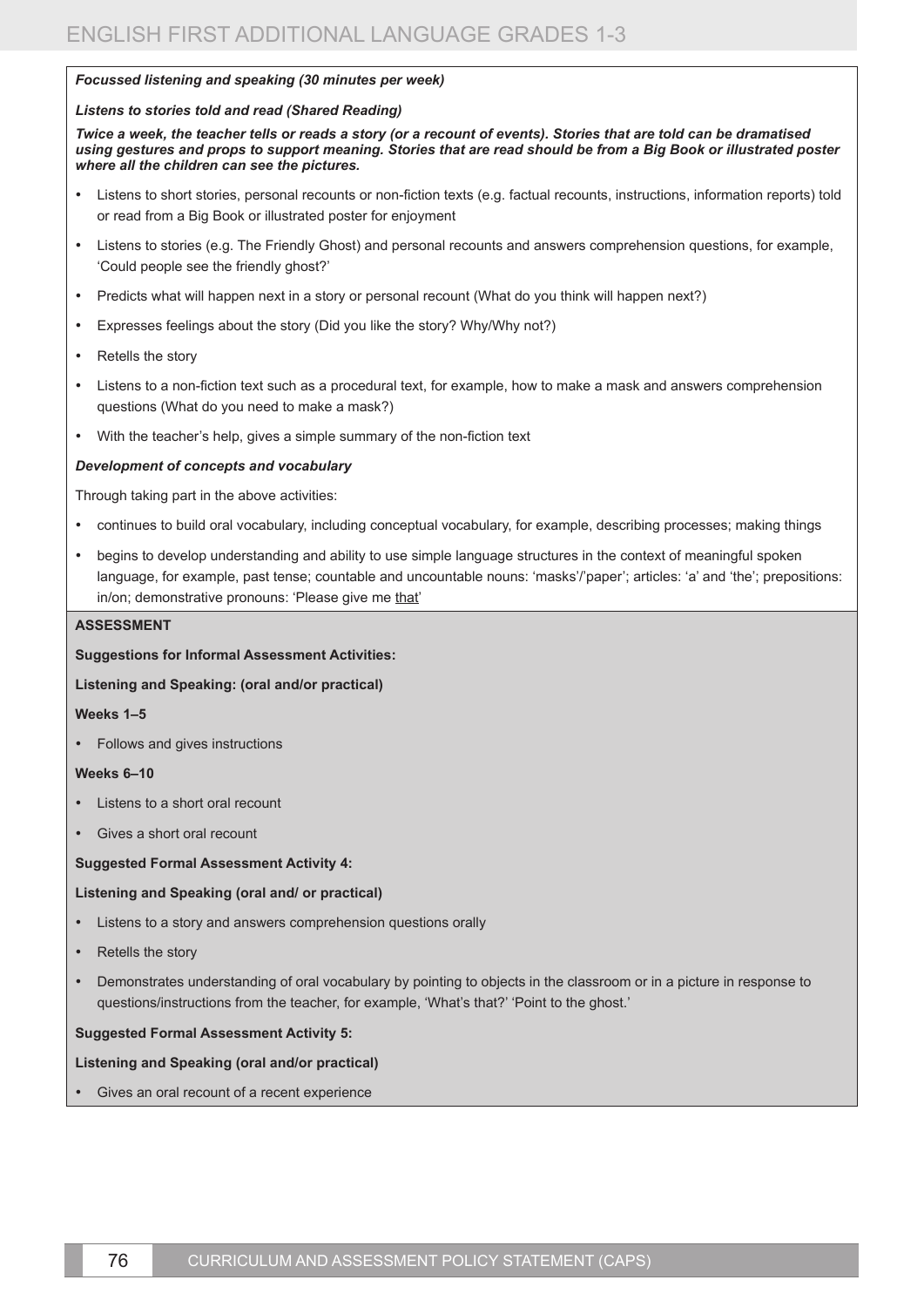#### *Focussed listening and speaking (30 minutes per week)*

#### *Listens to stories told and read (Shared Reading)*

*Twice a week, the teacher tells or reads a story (or a recount of events). Stories that are told can be dramatised using gestures and props to support meaning. Stories that are read should be from a Big Book or illustrated poster where all the children can see the pictures.*

- • Listens to short stories, personal recounts or non-fiction texts (e.g. factual recounts, instructions, information reports) told or read from a Big Book or illustrated poster for enjoyment
- Listens to stories (e.g. The Friendly Ghost) and personal recounts and answers comprehension questions, for example, 'Could people see the friendly ghost?'
- Predicts what will happen next in a story or personal recount (What do you think will happen next?)
- Expresses feelings about the story (Did you like the story? Why/Why not?)
- • Retells the story
- Listens to a non-fiction text such as a procedural text, for example, how to make a mask and answers comprehension questions (What do you need to make a mask?)
- With the teacher's help, gives a simple summary of the non-fiction text

#### *Development of concepts and vocabulary*

Through taking part in the above activities:

- continues to build oral vocabulary, including conceptual vocabulary, for example, describing processes; making things
- begins to develop understanding and ability to use simple language structures in the context of meaningful spoken language, for example, past tense; countable and uncountable nouns: 'masks'/'paper'; articles: 'a' and 'the'; prepositions: in/on; demonstrative pronouns: 'Please give me that'

#### **ASSESSMENT**

**Suggestions for Informal Assessment Activities:** 

#### **Listening and Speaking: (oral and/or practical)**

#### **Weeks 1–5**

Follows and gives instructions

#### **Weeks 6–10**

- Listens to a short oral recount
- Gives a short oral recount

#### **Suggested Formal Assessment Activity 4:**

#### **Listening and Speaking (oral and/ or practical)**

- Listens to a story and answers comprehension questions orally
- Retells the story
- Demonstrates understanding of oral vocabulary by pointing to objects in the classroom or in a picture in response to questions/instructions from the teacher, for example, 'What's that?' 'Point to the ghost.'

#### **Suggested Formal Assessment Activity 5:**

#### **Listening and Speaking (oral and/or practical)**

Gives an oral recount of a recent experience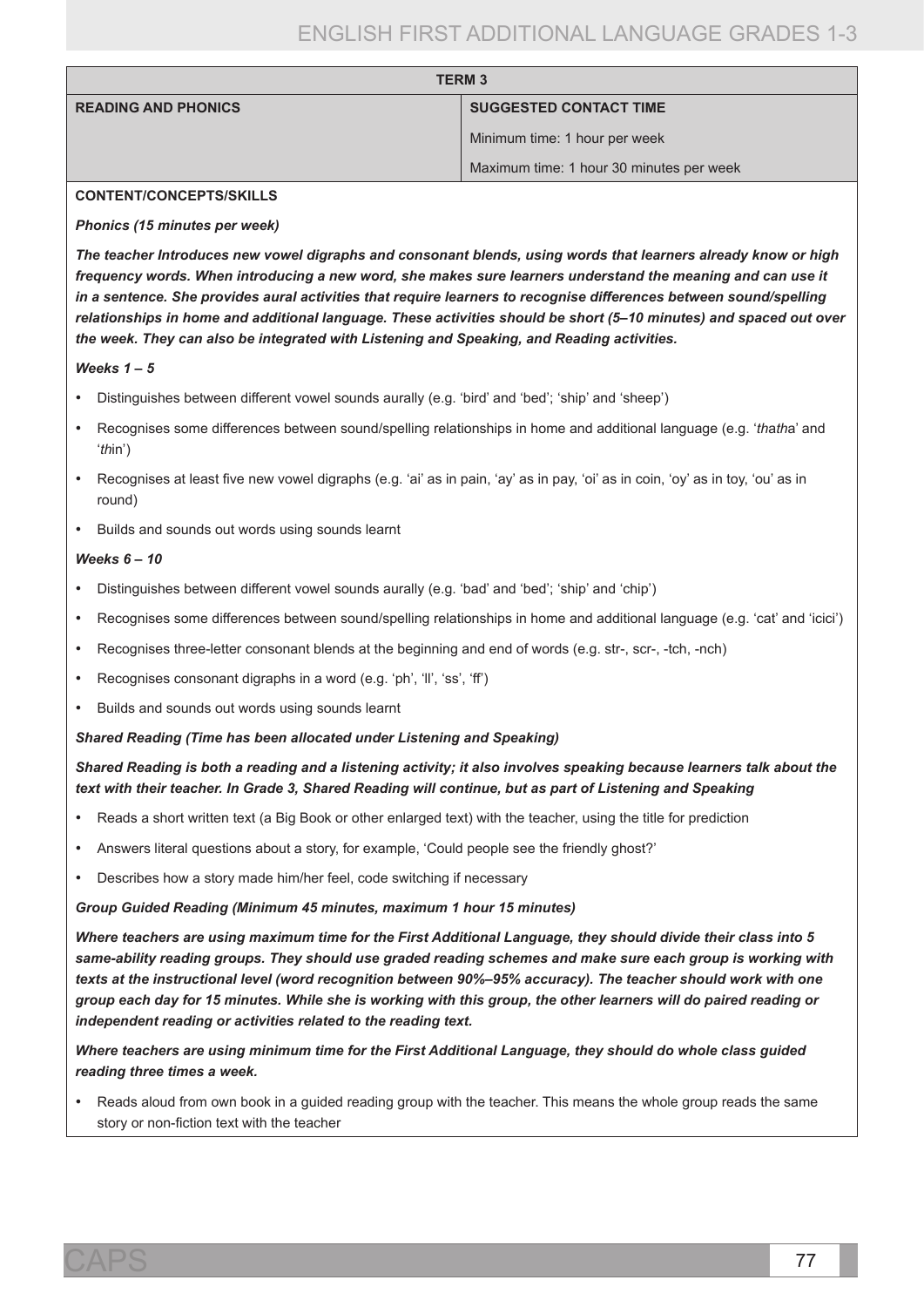| <b>TERM 3</b>              |                                          |
|----------------------------|------------------------------------------|
| <b>READING AND PHONICS</b> | <b>SUGGESTED CONTACT TIME</b>            |
|                            | Minimum time: 1 hour per week            |
|                            | Maximum time: 1 hour 30 minutes per week |

#### **CONTENT/CONCEPTS/SKILLS**

#### *Phonics (15 minutes per week)*

*The teacher Introduces new vowel digraphs and consonant blends, using words that learners already know or high frequency words. When introducing a new word, she makes sure learners understand the meaning and can use it in a sentence. She provides aural activities that require learners to recognise differences between sound/spelling relationships in home and additional language. These activities should be short (5–10 minutes) and spaced out over the week. They can also be integrated with Listening and Speaking, and Reading activities.*

#### *Weeks 1 – 5*

- Distinguishes between different vowel sounds aurally (e.g. 'bird' and 'bed'; 'ship' and 'sheep')
- • Recognises some differences between sound/spelling relationships in home and additional language (e.g. '*th*a*th*a' and '*th*in')
- Recognises at least five new vowel digraphs (e.g. 'ai' as in pain, 'ay' as in pay, 'oi' as in coin, 'oy' as in toy, 'ou' as in round)
- • Builds and sounds out words using sounds learnt

#### *Weeks 6 – 10*

- Distinguishes between different vowel sounds aurally (e.g. 'bad' and 'bed'; 'ship' and 'chip')
- Recognises some differences between sound/spelling relationships in home and additional language (e.g. 'cat' and 'icici')
- Recognises three-letter consonant blends at the beginning and end of words (e.g. str-, scr-, -tch, -nch)
- Recognises consonant digraphs in a word (e.g. 'ph', 'll', 'ss', 'ff')
- Builds and sounds out words using sounds learnt

#### *Shared Reading (Time has been allocated under Listening and Speaking)*

# *Shared Reading is both a reading and a listening activity; it also involves speaking because learners talk about the text with their teacher. In Grade 3, Shared Reading will continue, but as part of Listening and Speaking*

- Reads a short written text (a Big Book or other enlarged text) with the teacher, using the title for prediction
- Answers literal questions about a story, for example, 'Could people see the friendly ghost?'
- Describes how a story made him/her feel, code switching if necessary

#### *Group Guided Reading (Minimum 45 minutes, maximum 1 hour 15 minutes)*

*Where teachers are using maximum time for the First Additional Language, they should divide their class into 5 same-ability reading groups. They should use graded reading schemes and make sure each group is working with texts at the instructional level (word recognition between 90%–95% accuracy). The teacher should work with one group each day for 15 minutes. While she is working with this group, the other learners will do paired reading or independent reading or activities related to the reading text.*

*Where teachers are using minimum time for the First Additional Language, they should do whole class guided reading three times a week.*

Reads aloud from own book in a quided reading group with the teacher. This means the whole group reads the same story or non-fiction text with the teacher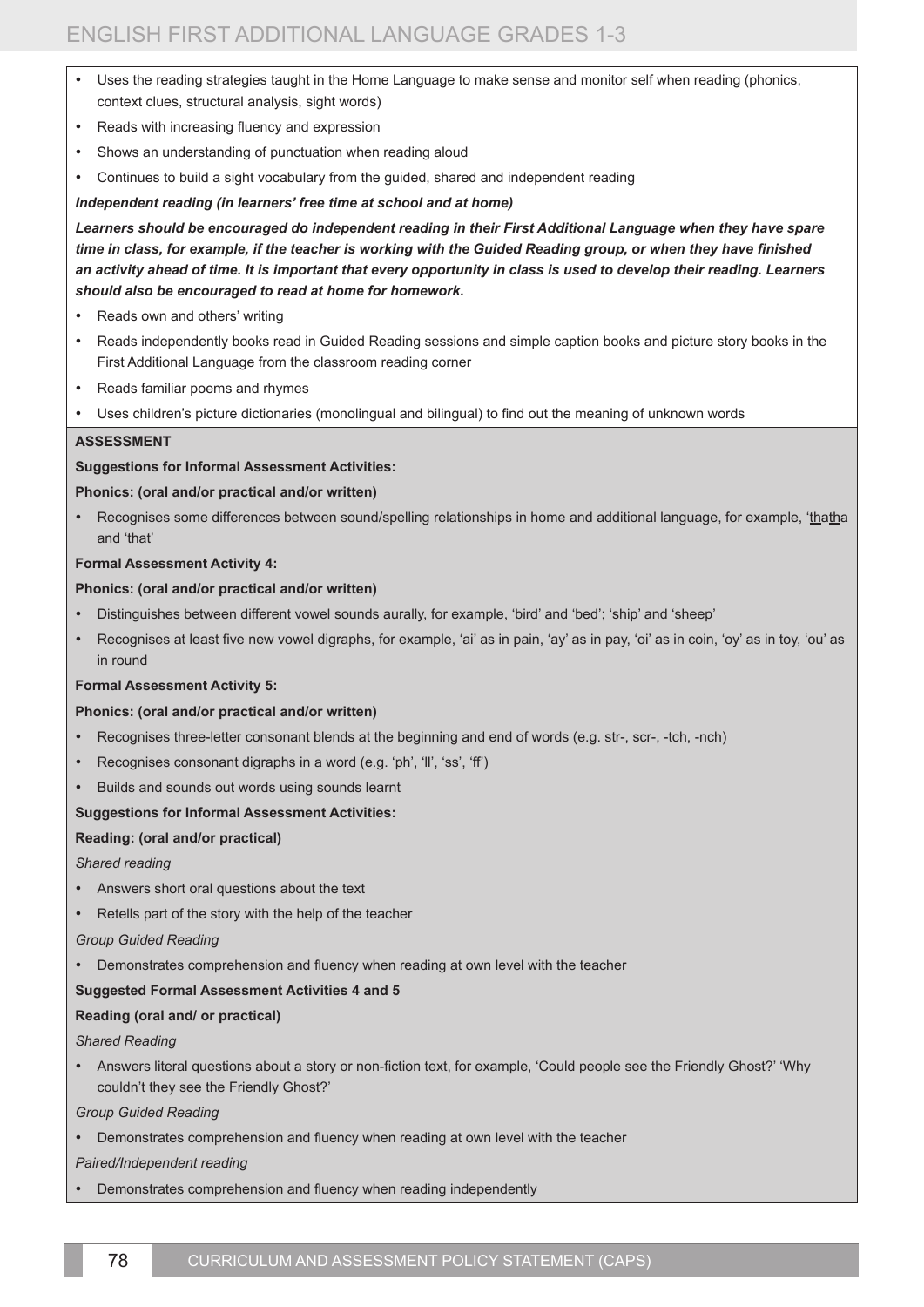- Uses the reading strategies taught in the Home Language to make sense and monitor self when reading (phonics, context clues, structural analysis, sight words)
- Reads with increasing fluency and expression
- Shows an understanding of punctuation when reading aloud
- Continues to build a sight vocabulary from the guided, shared and independent reading

### *Independent reading (in learners' free time at school and at home)*

*Learners should be encouraged do independent reading in their First Additional Language when they have spare time in class, for example, if the teacher is working with the Guided Reading group, or when they have finished an activity ahead of time. It is important that every opportunity in class is used to develop their reading. Learners should also be encouraged to read at home for homework.* 

- Reads own and others' writing
- Reads independently books read in Guided Reading sessions and simple caption books and picture story books in the First Additional Language from the classroom reading corner
- • Reads familiar poems and rhymes
- Uses children's picture dictionaries (monolingual and bilingual) to find out the meaning of unknown words

#### **ASSESSMENT**

#### **Suggestions for Informal Assessment Activities:**

#### **Phonics: (oral and/or practical and/or written)**

Recognises some differences between sound/spelling relationships in home and additional language, for example, 'thatha and 'that'

### **Formal Assessment Activity 4:**

#### **Phonics: (oral and/or practical and/or written)**

- Distinguishes between different vowel sounds aurally, for example, 'bird' and 'bed'; 'ship' and 'sheep'
- Recognises at least five new vowel digraphs, for example, 'ai' as in pain, 'ay' as in pay, 'oi' as in coin, 'oy' as in toy, 'ou' as in round

#### **Formal Assessment Activity 5:**

#### **Phonics: (oral and/or practical and/or written)**

- Recognises three-letter consonant blends at the beginning and end of words (e.g. str-, scr-, -tch, -nch)
- Recognises consonant digraphs in a word (e.g. 'ph', 'll', 'ss', 'ff')
- Builds and sounds out words using sounds learnt

# **Suggestions for Informal Assessment Activities:**

# **Reading: (oral and/or practical)**

#### *Shared reading*

- Answers short oral questions about the text
- Retells part of the story with the help of the teacher

*Group Guided Reading*

• Demonstrates comprehension and fluency when reading at own level with the teacher

#### **Suggested Formal Assessment Activities 4 and 5**

# **Reading (oral and/ or practical)**

*Shared Reading*

• Answers literal questions about a story or non-fiction text, for example, 'Could people see the Friendly Ghost?' 'Why couldn't they see the Friendly Ghost?'

# *Group Guided Reading*

• Demonstrates comprehension and fluency when reading at own level with the teacher

# *Paired/Independent reading*

Demonstrates comprehension and fluency when reading independently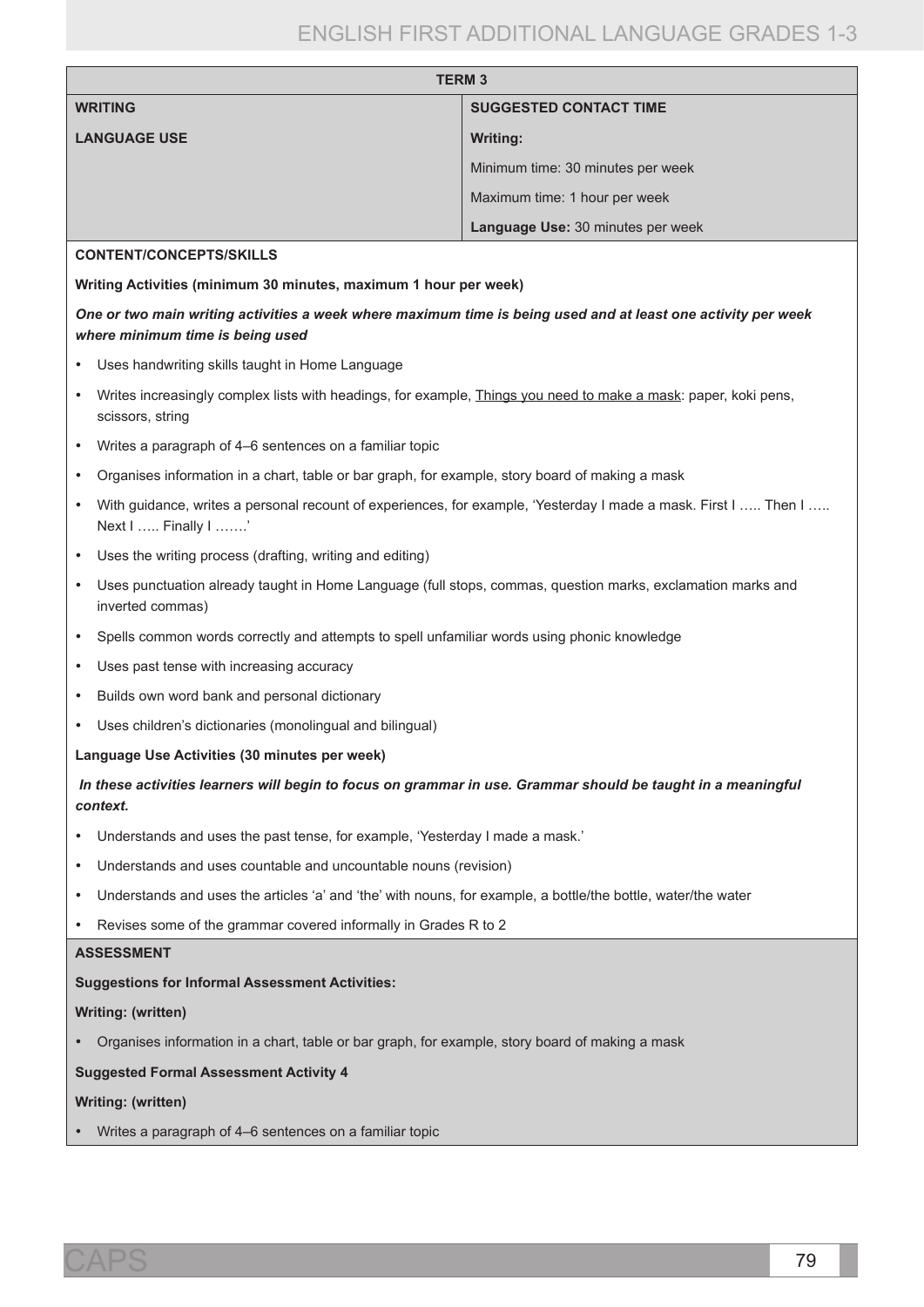| <b>TERM3</b>        |                                   |  |
|---------------------|-----------------------------------|--|
| <b>WRITING</b>      | <b>SUGGESTED CONTACT TIME</b>     |  |
| <b>LANGUAGE USE</b> | <b>Writing:</b>                   |  |
|                     | Minimum time: 30 minutes per week |  |
|                     | Maximum time: 1 hour per week     |  |
|                     | Language Use: 30 minutes per week |  |
|                     |                                   |  |

#### **CONTENT/CONCEPTS/SKILLS**

**Writing Activities (minimum 30 minutes, maximum 1 hour per week)**

# *One or two main writing activities a week where maximum time is being used and at least one activity per week where minimum time is being used*

- Uses handwriting skills taught in Home Language
- • Writes increasingly complex lists with headings, for example, Things you need to make a mask: paper, koki pens, scissors, string
- • Writes a paragraph of 4–6 sentences on a familiar topic
- • Organises information in a chart, table or bar graph, for example, story board of making a mask
- With guidance, writes a personal recount of experiences, for example, 'Yesterday I made a mask. First I ….. Then I ….. Next I ….. Finally I …….'
- Uses the writing process (drafting, writing and editing)
- Uses punctuation already taught in Home Language (full stops, commas, question marks, exclamation marks and inverted commas)
- • Spells common words correctly and attempts to spell unfamiliar words using phonic knowledge
- • Uses past tense with increasing accuracy
- Builds own word bank and personal dictionary
- Uses children's dictionaries (monolingual and bilingual)

### **Language Use Activities (30 minutes per week)**

*In these activities learners will begin to focus on grammar in use. Grammar should be taught in a meaningful context.*

- • Understands and uses the past tense, for example, 'Yesterday I made a mask.'
- Understands and uses countable and uncountable nouns (revision)
- • Understands and uses the articles 'a' and 'the' with nouns, for example, a bottle/the bottle, water/the water
- Revises some of the grammar covered informally in Grades R to 2

### **ASSESSMENT**

#### **Suggestions for Informal Assessment Activities:**

#### **Writing: (written)**

• Organises information in a chart, table or bar graph, for example, story board of making a mask

#### **Suggested Formal Assessment Activity 4**

#### **Writing: (written)**

Writes a paragraph of 4–6 sentences on a familiar topic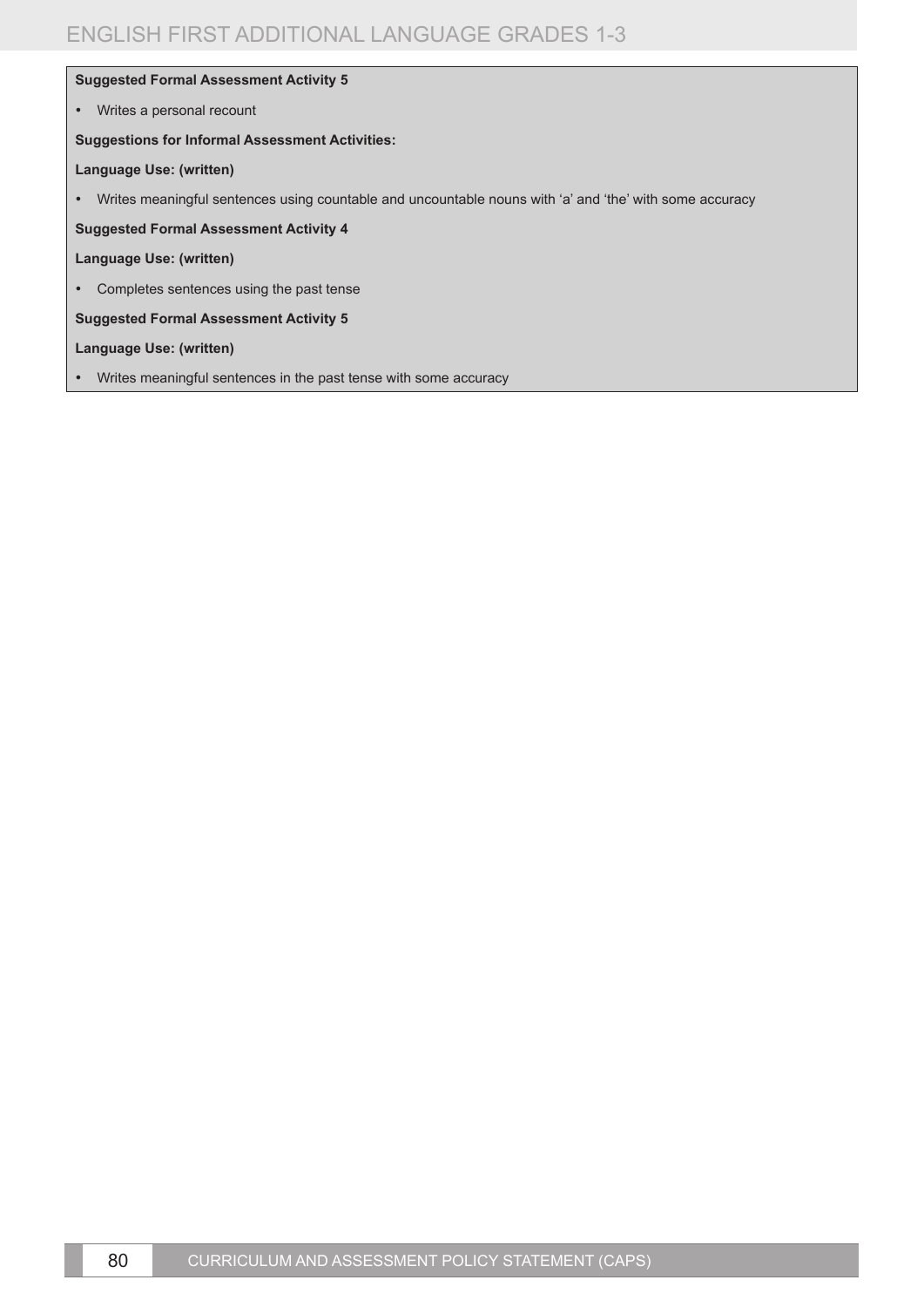### **Suggested Formal Assessment Activity 5**

• Writes a personal recount

#### **Suggestions for Informal Assessment Activities:**

#### **Language Use: (written)**

• Writes meaningful sentences using countable and uncountable nouns with 'a' and 'the' with some accuracy

**Suggested Formal Assessment Activity 4** 

#### **Language Use: (written)**

• Completes sentences using the past tense

**Suggested Formal Assessment Activity 5** 

### **Language Use: (written)**

• Writes meaningful sentences in the past tense with some accuracy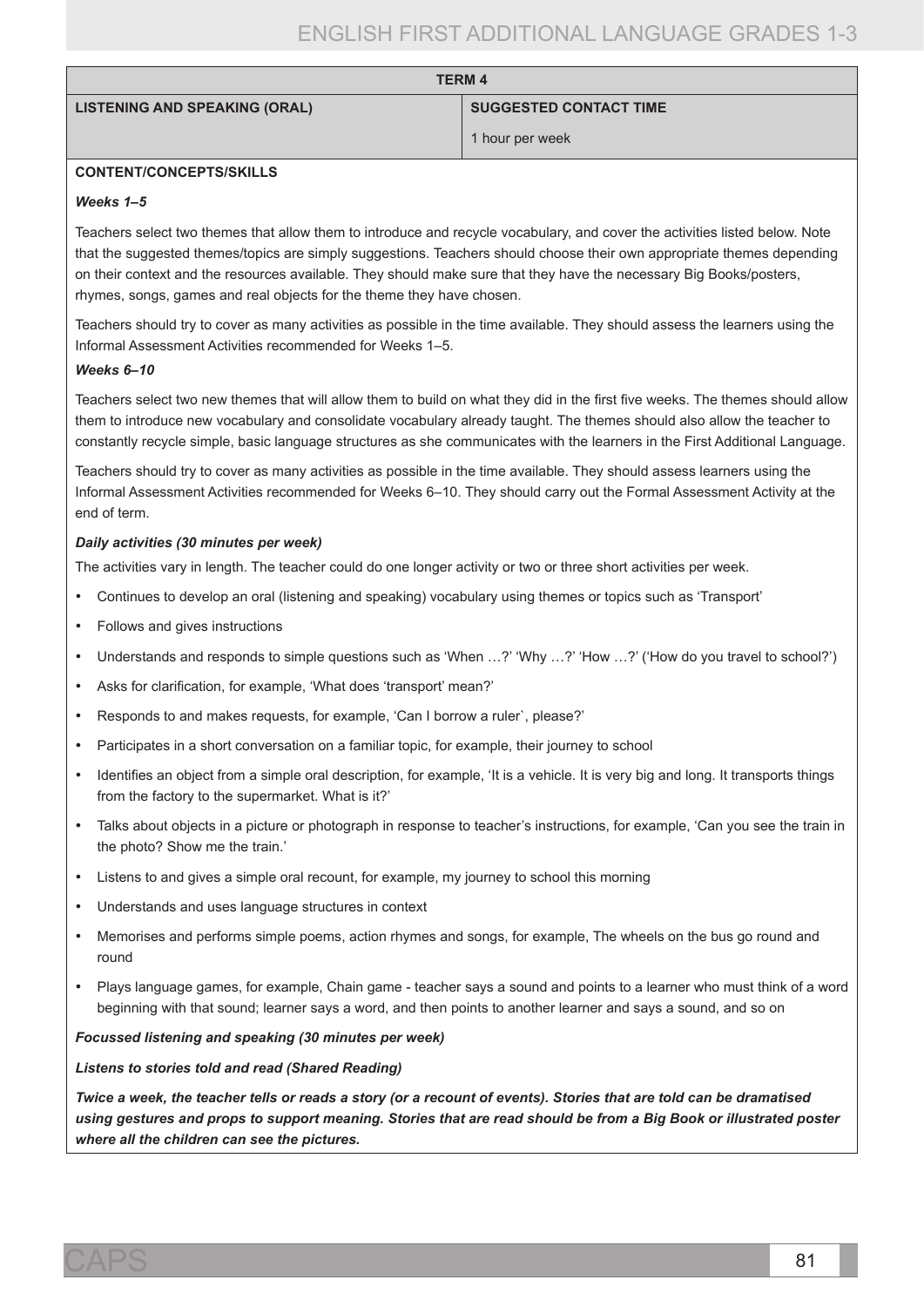| <b>LISTENING AND SPEAKING (ORAL)</b> |  |  |  |  |  |
|--------------------------------------|--|--|--|--|--|
|--------------------------------------|--|--|--|--|--|

#### **SUGGESTED CONTACT TIME**

1 hour per week

### **CONTENT/CONCEPTS/SKILLS**

#### *Weeks 1–5*

Teachers select two themes that allow them to introduce and recycle vocabulary, and cover the activities listed below. Note that the suggested themes/topics are simply suggestions. Teachers should choose their own appropriate themes depending on their context and the resources available. They should make sure that they have the necessary Big Books/posters, rhymes, songs, games and real objects for the theme they have chosen.

**TERM 4**

Teachers should try to cover as many activities as possible in the time available. They should assess the learners using the Informal Assessment Activities recommended for Weeks 1–5.

#### *Weeks 6–10*

Teachers select two new themes that will allow them to build on what they did in the first five weeks. The themes should allow them to introduce new vocabulary and consolidate vocabulary already taught. The themes should also allow the teacher to constantly recycle simple, basic language structures as she communicates with the learners in the First Additional Language.

Teachers should try to cover as many activities as possible in the time available. They should assess learners using the Informal Assessment Activities recommended for Weeks 6–10. They should carry out the Formal Assessment Activity at the end of term.

#### *Daily activities (30 minutes per week)*

The activities vary in length. The teacher could do one longer activity or two or three short activities per week.

- Continues to develop an oral (listening and speaking) vocabulary using themes or topics such as 'Transport'
- Follows and gives instructions
- Understands and responds to simple questions such as 'When ...?' 'Why ...?' 'How ...?' ('How do you travel to school?')
- • Asks for clarification, for example, 'What does 'transport' mean?'
- Responds to and makes requests, for example, 'Can I borrow a ruler', please?'
- Participates in a short conversation on a familiar topic, for example, their journey to school
- Identifies an object from a simple oral description, for example, 'It is a vehicle. It is very big and long. It transports things from the factory to the supermarket. What is it?'
- • Talks about objects in a picture or photograph in response to teacher's instructions, for example, 'Can you see the train in the photo? Show me the train.'
- • Listens to and gives a simple oral recount, for example, my journey to school this morning
- Understands and uses language structures in context
- Memorises and performs simple poems, action rhymes and songs, for example. The wheels on the bus go round and round
- Plays language games, for example, Chain game teacher says a sound and points to a learner who must think of a word beginning with that sound; learner says a word, and then points to another learner and says a sound, and so on

#### *Focussed listening and speaking (30 minutes per week)*

*Listens to stories told and read (Shared Reading)*

*Twice a week, the teacher tells or reads a story (or a recount of events). Stories that are told can be dramatised using gestures and props to support meaning. Stories that are read should be from a Big Book or illustrated poster where all the children can see the pictures.*

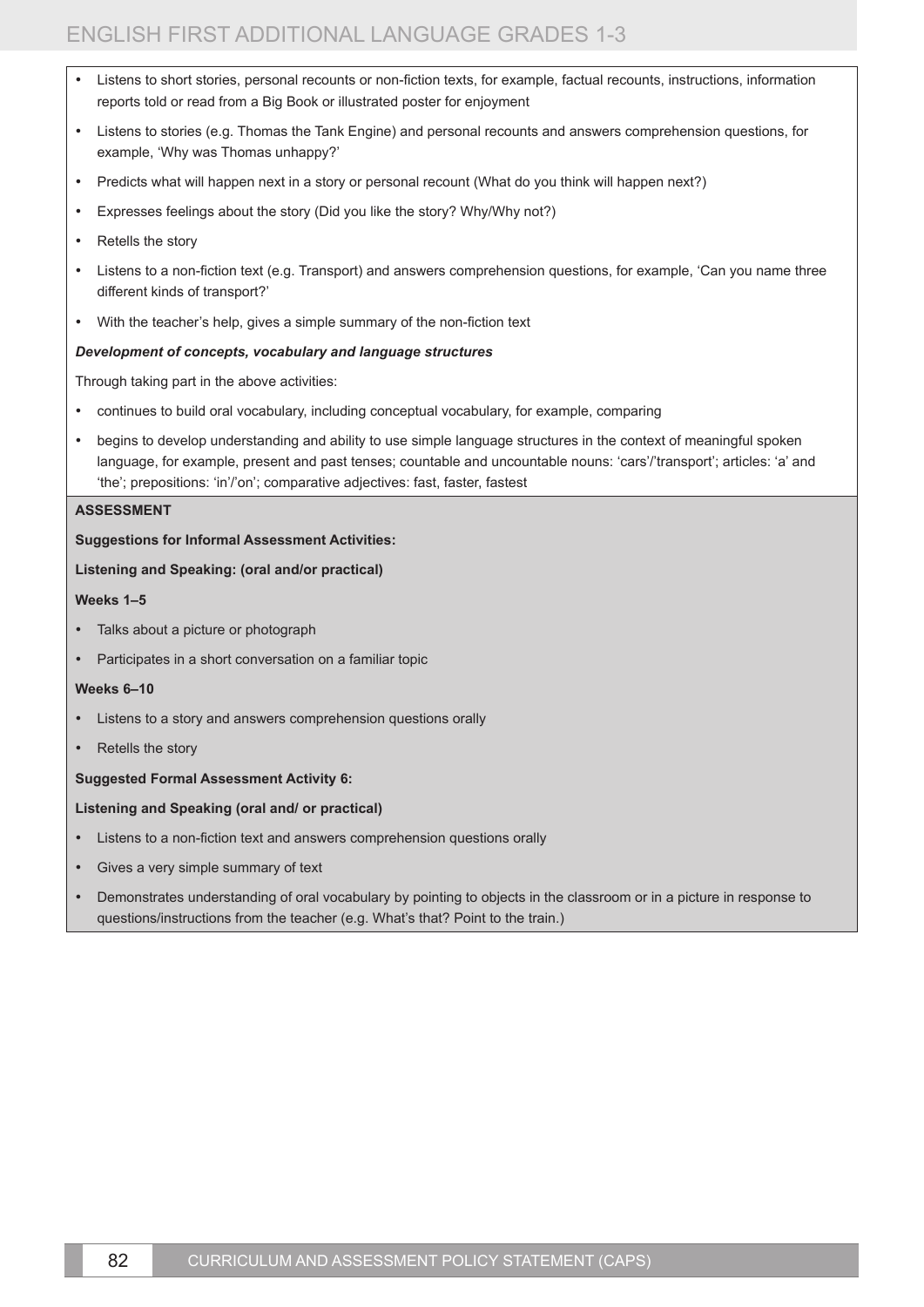- Listens to short stories, personal recounts or non-fiction texts, for example, factual recounts, instructions, information reports told or read from a Big Book or illustrated poster for enjoyment
- • Listens to stories (e.g. Thomas the Tank Engine) and personal recounts and answers comprehension questions, for example, 'Why was Thomas unhappy?'
- Predicts what will happen next in a story or personal recount (What do you think will happen next?)
- Expresses feelings about the story (Did you like the story? Why/Why not?)
- Retells the story
- Listens to a non-fiction text (e.g. Transport) and answers comprehension questions, for example, 'Can you name three different kinds of transport?'
- With the teacher's help, gives a simple summary of the non-fiction text

#### *Development of concepts, vocabulary and language structures*

Through taking part in the above activities:

- continues to build oral vocabulary, including conceptual vocabulary, for example, comparing
- begins to develop understanding and ability to use simple language structures in the context of meaningful spoken language, for example, present and past tenses; countable and uncountable nouns: 'cars'/'transport'; articles: 'a' and 'the'; prepositions: 'in'/'on'; comparative adjectives: fast, faster, fastest

#### **ASSESSMENT**

# **Suggestions for Informal Assessment Activities:**

#### **Listening and Speaking: (oral and/or practical)**

#### **Weeks 1–5**

- Talks about a picture or photograph
- Participates in a short conversation on a familiar topic

#### **Weeks 6–10**

- Listens to a story and answers comprehension questions orally
- Retells the story

#### **Suggested Formal Assessment Activity 6:**

#### **Listening and Speaking (oral and/ or practical)**

- Listens to a non-fiction text and answers comprehension questions orally
- Gives a very simple summary of text
- Demonstrates understanding of oral vocabulary by pointing to objects in the classroom or in a picture in response to questions/instructions from the teacher (e.g. What's that? Point to the train.)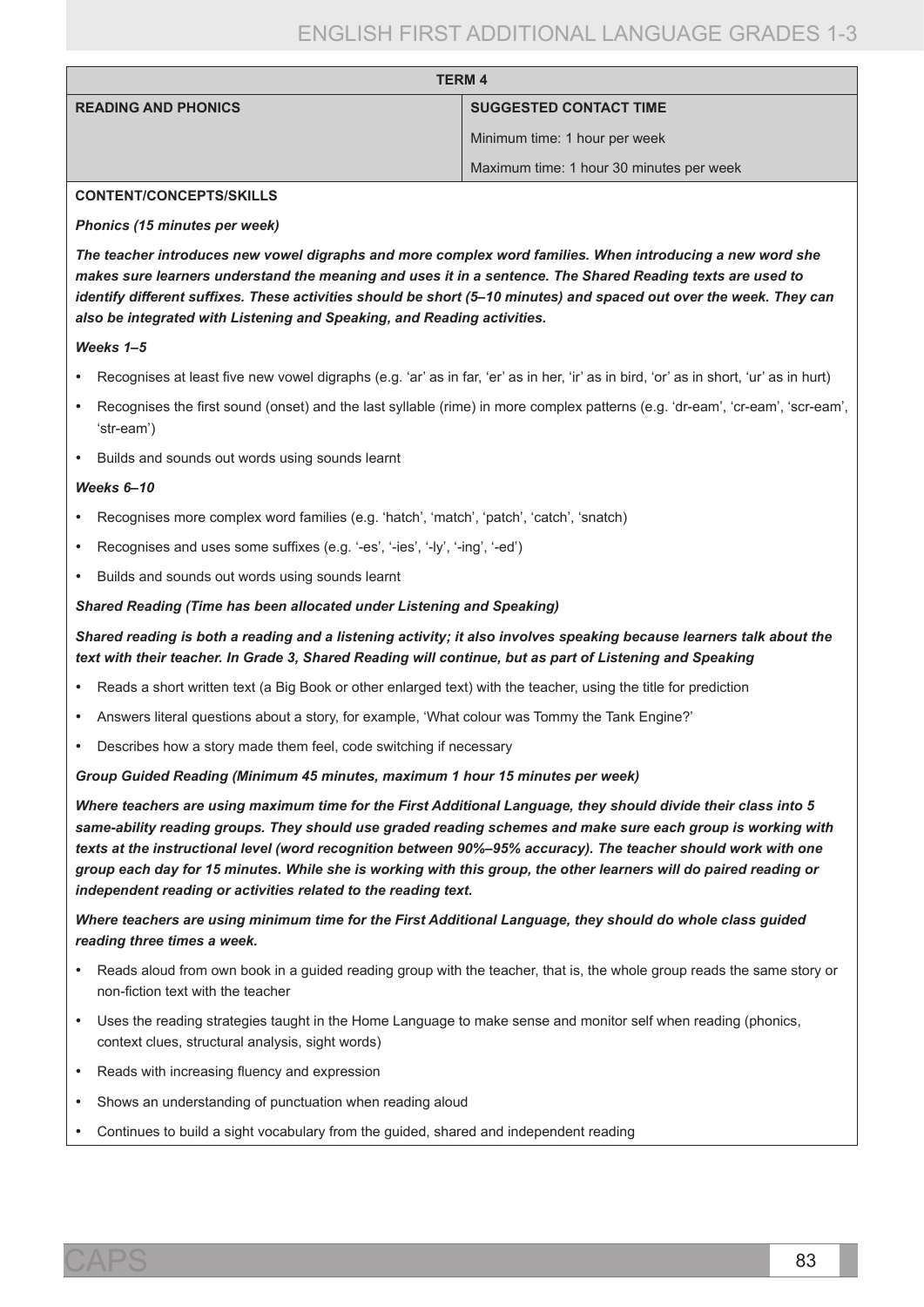| <b>TERM 4</b>              |                                          |
|----------------------------|------------------------------------------|
| <b>READING AND PHONICS</b> | <b>SUGGESTED CONTACT TIME</b>            |
|                            | Minimum time: 1 hour per week            |
|                            | Maximum time: 1 hour 30 minutes per week |

#### **CONTENT/CONCEPTS/SKILLS**

#### *Phonics (15 minutes per week)*

*The teacher introduces new vowel digraphs and more complex word families. When introducing a new word she makes sure learners understand the meaning and uses it in a sentence. The Shared Reading texts are used to identify different suffixes. These activities should be short (5–10 minutes) and spaced out over the week. They can also be integrated with Listening and Speaking, and Reading activities.*

#### *Weeks 1–5*

- Recognises at least five new vowel digraphs (e.g. 'ar' as in far, 'er' as in her, 'ir' as in bird, 'or' as in short, 'ur' as in hurt)
- Recognises the first sound (onset) and the last syllable (rime) in more complex patterns (e.g. 'dr-eam', 'cr-eam', 'scr-eam', 'str-eam')
- • Builds and sounds out words using sounds learnt

#### *Weeks 6–10*

- Recognises more complex word families (e.g. 'hatch', 'match', 'patch', 'catch', 'snatch)
- Recognises and uses some suffixes (e.g. '-es', '-ies', '-ly', '-ing', '-ed')
- • Builds and sounds out words using sounds learnt

#### *Shared Reading (Time has been allocated under Listening and Speaking)*

# *Shared reading is both a reading and a listening activity; it also involves speaking because learners talk about the text with their teacher. In Grade 3, Shared Reading will continue, but as part of Listening and Speaking*

- Reads a short written text (a Big Book or other enlarged text) with the teacher, using the title for prediction
- Answers literal questions about a story, for example, 'What colour was Tommy the Tank Engine?'
- Describes how a story made them feel, code switching if necessary

*Group Guided Reading (Minimum 45 minutes, maximum 1 hour 15 minutes per week)*

*Where teachers are using maximum time for the First Additional Language, they should divide their class into 5 same-ability reading groups. They should use graded reading schemes and make sure each group is working with texts at the instructional level (word recognition between 90%–95% accuracy). The teacher should work with one group each day for 15 minutes. While she is working with this group, the other learners will do paired reading or independent reading or activities related to the reading text.* 

*Where teachers are using minimum time for the First Additional Language, they should do whole class guided reading three times a week.*

- Reads aloud from own book in a guided reading group with the teacher, that is, the whole group reads the same story or non-fiction text with the teacher
- • Uses the reading strategies taught in the Home Language to make sense and monitor self when reading (phonics, context clues, structural analysis, sight words)
- Reads with increasing fluency and expression
- Shows an understanding of punctuation when reading aloud
- Continues to build a sight vocabulary from the guided, shared and independent reading

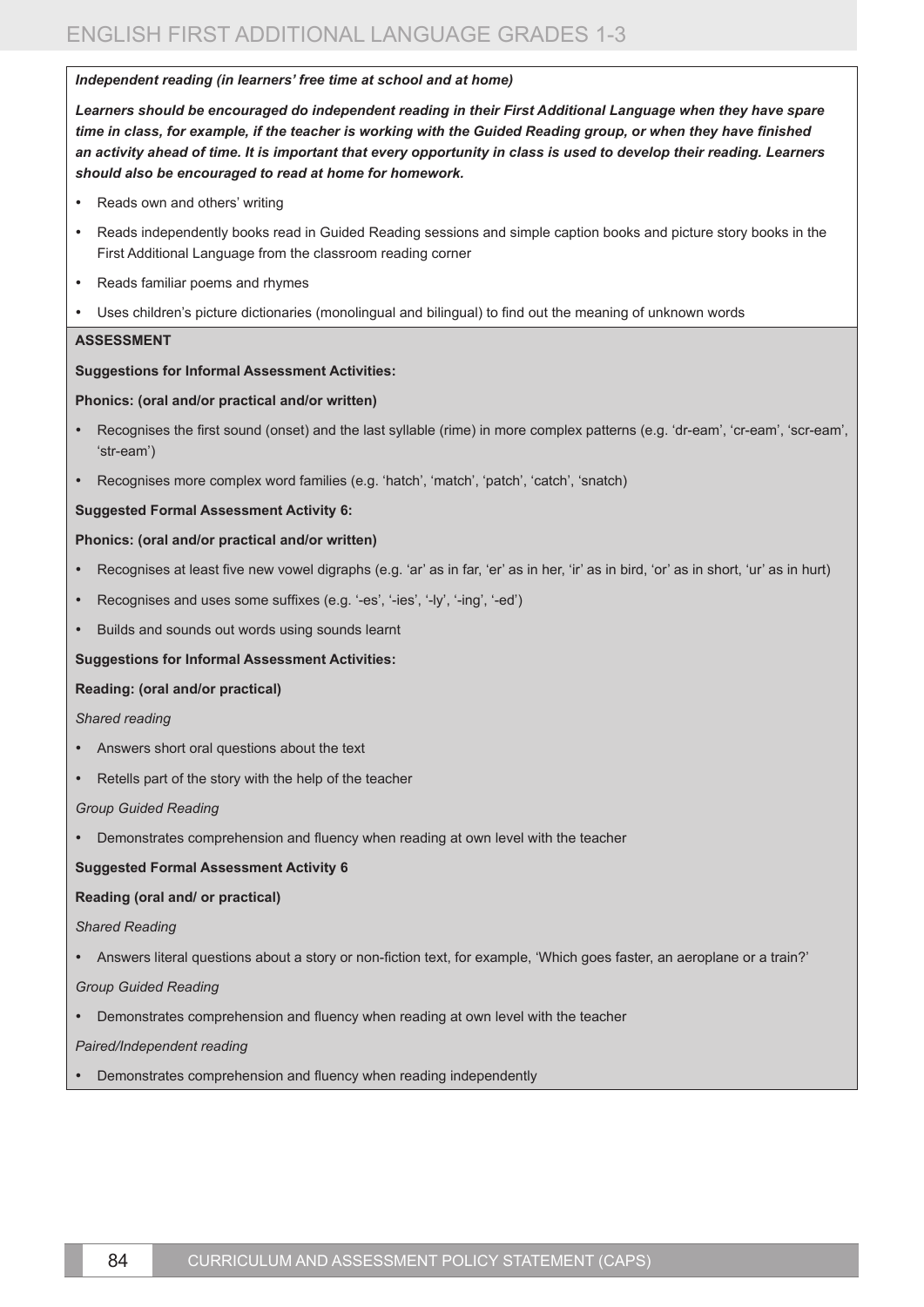#### *Independent reading (in learners' free time at school and at home)*

*Learners should be encouraged do independent reading in their First Additional Language when they have spare time in class, for example, if the teacher is working with the Guided Reading group, or when they have finished an activity ahead of time. It is important that every opportunity in class is used to develop their reading. Learners should also be encouraged to read at home for homework.* 

- Reads own and others' writing
- • Reads independently books read in Guided Reading sessions and simple caption books and picture story books in the First Additional Language from the classroom reading corner
- Reads familiar poems and rhymes
- Uses children's picture dictionaries (monolingual and bilingual) to find out the meaning of unknown words

### **ASSESSMENT**

### **Suggestions for Informal Assessment Activities:**

#### **Phonics: (oral and/or practical and/or written)**

- Recognises the first sound (onset) and the last syllable (rime) in more complex patterns (e.g. 'dr-eam', 'cr-eam', 'scr-eam', 'str-eam')
- Recognises more complex word families (e.g. 'hatch', 'match', 'patch', 'catch', 'snatch)

### **Suggested Formal Assessment Activity 6:**

#### **Phonics: (oral and/or practical and/or written)**

- Recognises at least five new vowel digraphs (e.g. 'ar' as in far, 'er' as in her, 'ir' as in bird, 'or' as in short, 'ur' as in hurt)
- Recognises and uses some suffixes (e.g. '-es', '-ies', '-ly', '-ing', '-ed')
- Builds and sounds out words using sounds learnt

#### **Suggestions for Informal Assessment Activities:**

#### **Reading: (oral and/or practical)**

#### *Shared reading*

- Answers short oral questions about the text
- Retells part of the story with the help of the teacher

#### *Group Guided Reading*

Demonstrates comprehension and fluency when reading at own level with the teacher

#### **Suggested Formal Assessment Activity 6**

# **Reading (oral and/ or practical)**

#### *Shared Reading*

• Answers literal questions about a story or non-fiction text, for example, 'Which goes faster, an aeroplane or a train?'

#### *Group Guided Reading*

• Demonstrates comprehension and fluency when reading at own level with the teacher

# *Paired/Independent reading*

Demonstrates comprehension and fluency when reading independently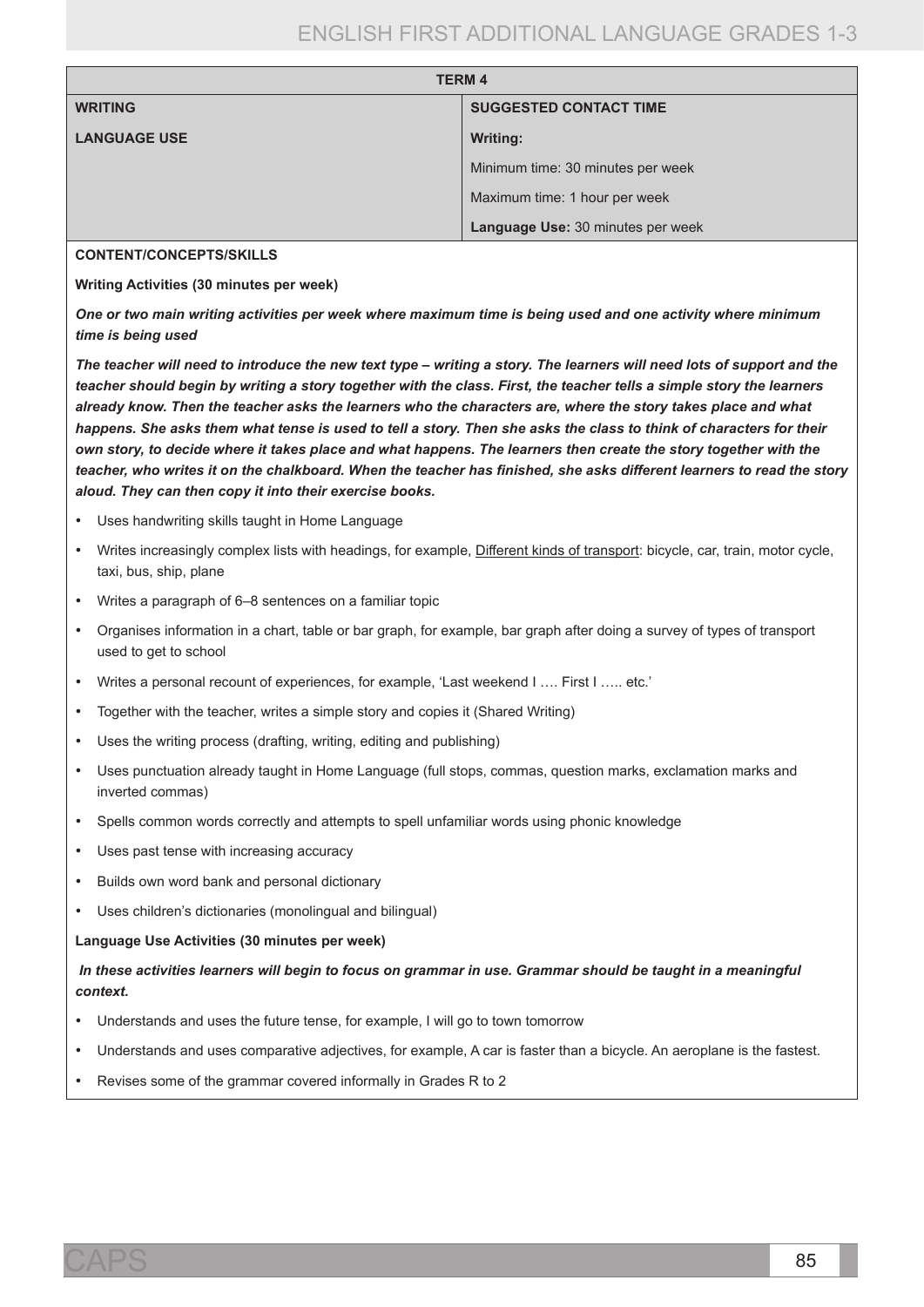| <b>TERM 4</b>       |                                   |
|---------------------|-----------------------------------|
| <b>WRITING</b>      | <b>SUGGESTED CONTACT TIME</b>     |
| <b>LANGUAGE USE</b> | <b>Writing:</b>                   |
|                     | Minimum time: 30 minutes per week |
|                     | Maximum time: 1 hour per week     |
|                     | Language Use: 30 minutes per week |

#### **CONTENT/CONCEPTS/SKILLS**

**Writing Activities (30 minutes per week)**

*One or two main writing activities per week where maximum time is being used and one activity where minimum time is being used*

*The teacher will need to introduce the new text type – writing a story. The learners will need lots of support and the teacher should begin by writing a story together with the class. First, the teacher tells a simple story the learners already know. Then the teacher asks the learners who the characters are, where the story takes place and what happens. She asks them what tense is used to tell a story. Then she asks the class to think of characters for their own story, to decide where it takes place and what happens. The learners then create the story together with the teacher, who writes it on the chalkboard. When the teacher has finished, she asks different learners to read the story aloud. They can then copy it into their exercise books.*

- Uses handwriting skills taught in Home Language
- Writes increasingly complex lists with headings, for example, Different kinds of transport: bicycle, car, train, motor cycle, taxi, bus, ship, plane
- • Writes a paragraph of 6–8 sentences on a familiar topic
- Organises information in a chart, table or bar graph, for example, bar graph after doing a survey of types of transport used to get to school
- Writes a personal recount of experiences, for example, 'Last weekend I .... First I ..... etc.'
- Together with the teacher, writes a simple story and copies it (Shared Writing)
- Uses the writing process (drafting, writing, editing and publishing)
- Uses punctuation already taught in Home Language (full stops, commas, question marks, exclamation marks and inverted commas)
- Spells common words correctly and attempts to spell unfamiliar words using phonic knowledge
- Uses past tense with increasing accuracy
- Builds own word bank and personal dictionary
- Uses children's dictionaries (monolingual and bilingual)

#### **Language Use Activities (30 minutes per week)**

*In these activities learners will begin to focus on grammar in use. Grammar should be taught in a meaningful context.*

- Understands and uses the future tense, for example, I will go to town tomorrow
- Understands and uses comparative adjectives, for example, A car is faster than a bicycle. An aeroplane is the fastest.
- Revises some of the grammar covered informally in Grades R to 2